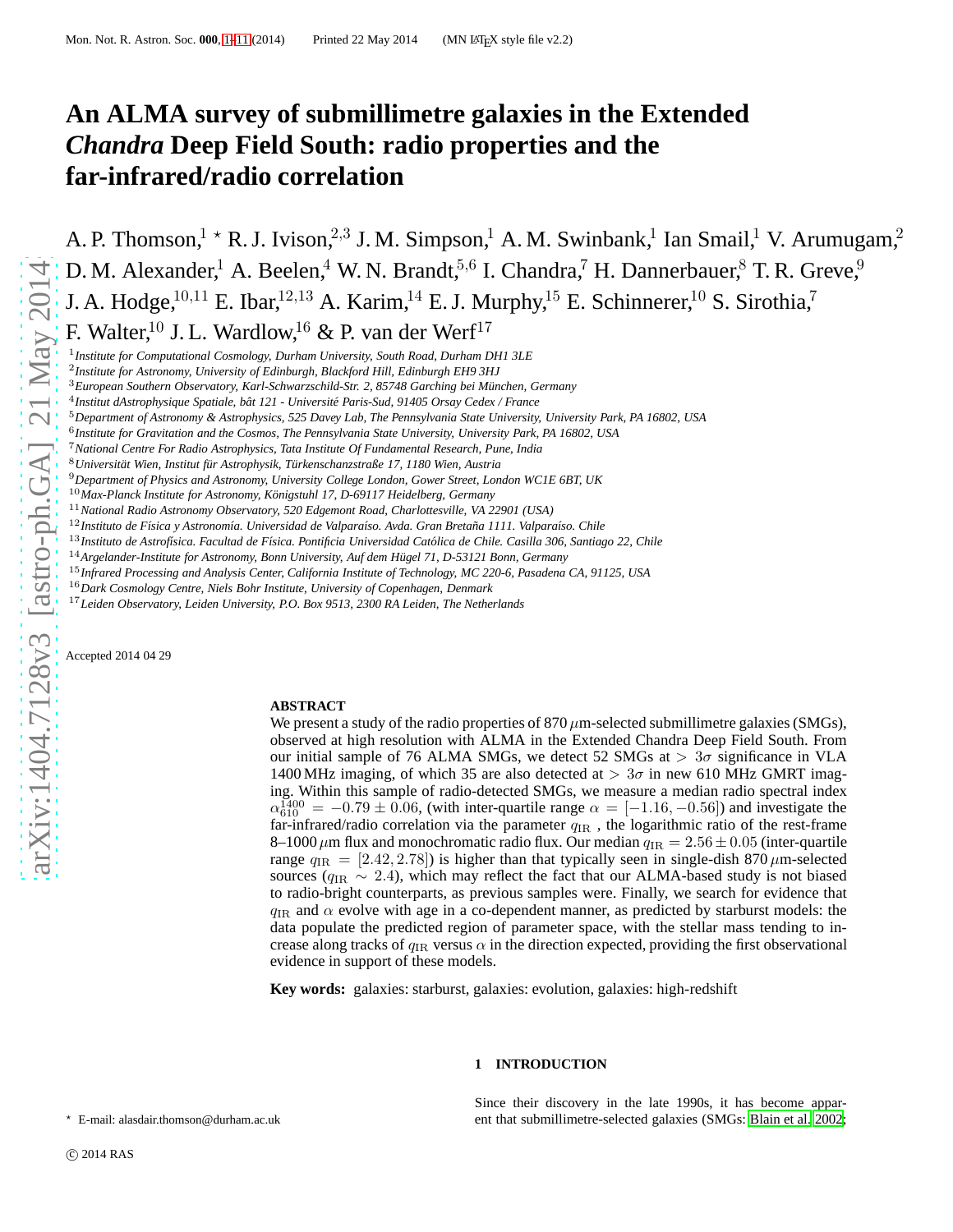# **An ALMA survey of submillimetre galaxies in the Extended** *Chandra* **Deep Field South: radio properties and the far-infrared/radio correlation**

A. P. Thomson,  $1 \times R$ . J. Ivison,  $2,3$  J. M. Simpson, 1 A. M. Swinbank, 1 Ian Smail, 1 V. Arumugam, 2 D. M. Alexander,<sup>1</sup> A. Beelen,<sup>4</sup> W. N. Brandt,<sup>5,6</sup> I. Chandra,<sup>7</sup> H. Dannerbauer,<sup>8</sup> T. R. Greve,<sup>9</sup> J. A. Hodge,<sup>10,11</sup> E. Ibar,<sup>12,13</sup> A. Karim,<sup>14</sup> E. J. Murphy,<sup>15</sup> E. Schinnerer,<sup>10</sup> S. Sirothia,<sup>7</sup> F. Walter,<sup>10</sup> J. L. Wardlow,<sup>16</sup> & P. van der Werf<sup>17</sup>

1 *Institute for Computational Cosmology, Durham University, South Road, Durham DH1 3LE*

6 *Institute for Gravitation and the Cosmos, The Pennsylvania State University, University Park, PA 16802, USA*

- <sup>10</sup>*Max-Planck Institute for Astronomy, K¨onigstuhl 17, D-69117 Heidelberg, Germany*
- <sup>11</sup>*National Radio Astronomy Observatory, 520 Edgemont Road, Charlottesville, VA 22901 (USA)*

<sup>12</sup>Instituto de Física y Astronomía. Universidad de Valparaíso. Avda. Gran Bretaña 1111. Valparaíso. Chile

<sup>14</sup>*Argelander-Institute for Astronomy, Bonn University, Auf dem H¨ugel 71, D-53121 Bonn, Germany*

<sup>15</sup>*Infrared Processing and Analysis Center, California Institute of Technology, MC 220-6, Pasadena CA, 91125, USA*

<sup>16</sup>*Dark Cosmology Centre, Niels Bohr Institute, University of Copenhagen, Denmark*

<sup>17</sup>*Leiden Observatory, Leiden University, P.O. Box 9513, 2300 RA Leiden, The Netherlands*

Accepted 2014 04 29

## **ABSTRACT**

We present a study of the radio properties of  $870 \,\mu$ m-selected submillimetre galaxies (SMGs), observed at high resolution with ALMA in the Extended Chandra Deep Field South. From our initial sample of 76 ALMA SMGs, we detect 52 SMGs at  $> 3\sigma$  significance in VLA 1400 MHz imaging, of which 35 are also detected at  $> 3\sigma$  in new 610 MHz GMRT imaging. Within this sample of radio-detected SMGs, we measure a median radio spectral index  $\alpha_{610}^{1400} = -0.79 \pm 0.06$ , (with inter-quartile range  $\alpha = [-1.16, -0.56]$ ) and investigate the far-infrared/radio correlation via the parameter  $q_{IR}$  , the logarithmic ratio of the rest-frame 8–1000  $\mu$ m flux and monochromatic radio flux. Our median  $q_{IR} = 2.56 \pm 0.05$  (inter-quartile range  $q_{IR} = [2.42, 2.78]$  is higher than that typically seen in single-dish 870  $\mu$ m-selected sources ( $q_{\text{IR}} \sim 2.4$ ), which may reflect the fact that our ALMA-based study is not biased to radio-bright counterparts, as previous samples were. Finally, we search for evidence that  $q_{\text{IR}}$  and  $\alpha$  evolve with age in a co-dependent manner, as predicted by starburst models: the data populate the predicted region of parameter space, with the stellar mass tending to increase along tracks of  $q_{IR}$  versus  $\alpha$  in the direction expected, providing the first observational evidence in support of these models.

**Key words:** galaxies: starburst, galaxies: evolution, galaxies: high-redshift

# **1 INTRODUCTION**

Since their discovery in the late 1990s, it has become apparent that submillimetre-selected galaxies (SMGs: [Blain et al. 2002;](#page-9-0)

<span id="page-0-0"></span><sup>⋆</sup> E-mail: alasdair.thomson@durham.ac.uk

<sup>2</sup> *Institute for Astronomy, University of Edinburgh, Blackford Hill, Edinburgh EH9 3HJ*

<sup>3</sup>*European Southern Observatory, Karl-Schwarzschild-Str. 2, 85748 Garching bei M¨unchen, Germany*

<sup>&</sup>lt;sup>4</sup> Institut dAstrophysique Spatiale, bât 121 - Université Paris-Sud, 91405 Orsay Cedex / France

<sup>5</sup>*Department of Astronomy & Astrophysics, 525 Davey Lab, The Pennsylvania State University, University Park, PA 16802, USA*

<sup>7</sup>*National Centre For Radio Astrophysics, Tata Institute Of Fundamental Research, Pune, India*

<sup>8</sup>*Universit¨at Wien, Institut f¨ur Astrophysik, T¨urkenschanzstraße 17, 1180 Wien, Austria*

<sup>9</sup>*Department of Physics and Astronomy, University College London, Gower Street, London WC1E 6BT, UK*

<sup>&</sup>lt;sup>13</sup>Instituto de Astrofísica. Facultad de Física. Pontificia Universidad Católica de Chile. Casilla 306, Santiago 22, Chile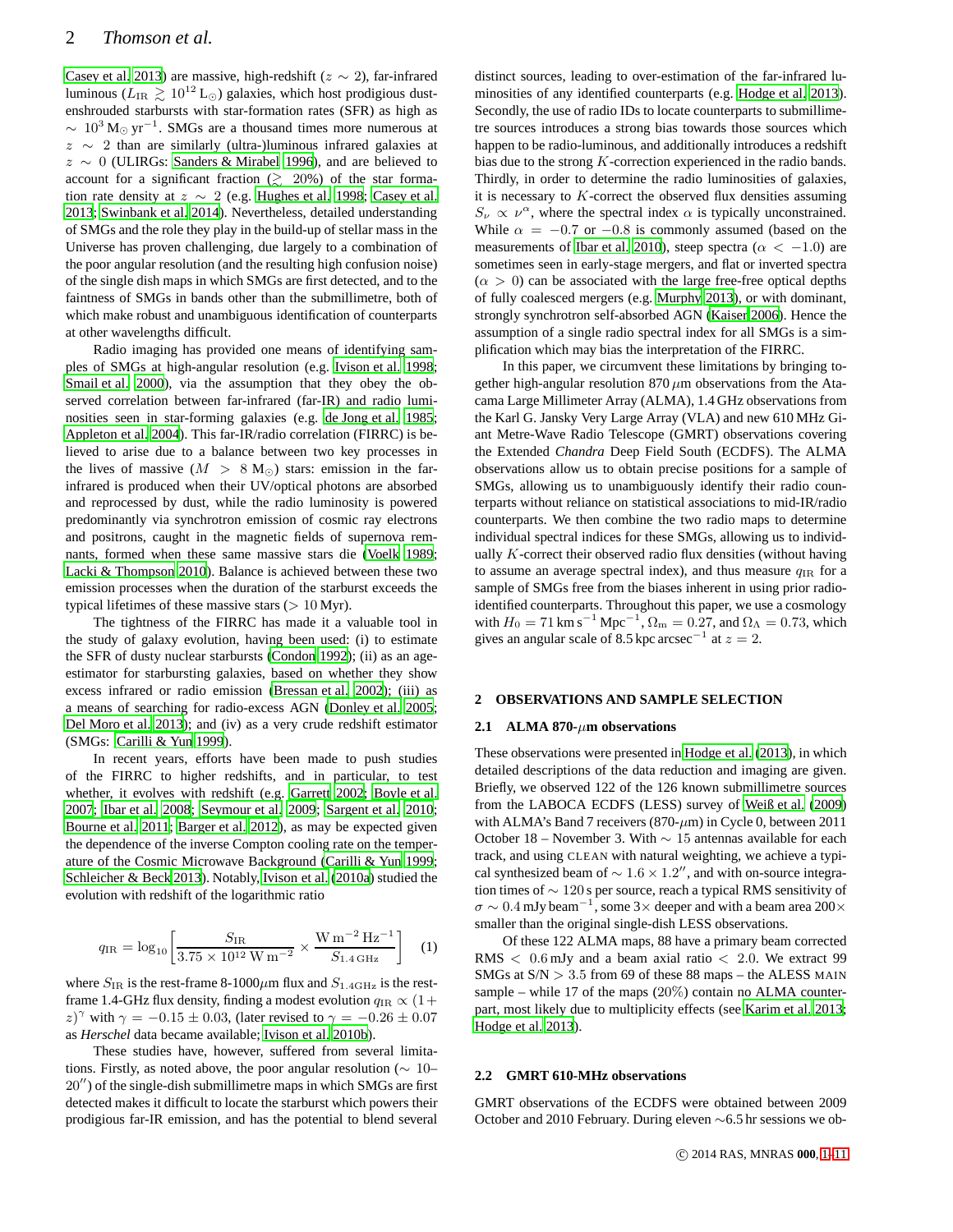[Casey et al. 2013](#page-9-1)) are massive, high-redshift ( $z \sim 2$ ), far-infrared luminous ( $L_{\text{IR}} \geq 10^{12} \text{ L}_{\odot}$ ) galaxies, which host prodigious dustenshrouded starbursts with star-formation rates (SFR) as high as  $\sim 10^3 \,\mathrm{M}_{\odot} \,\mathrm{yr}^{-1}$ . SMGs are a thousand times more numerous at z ∼ 2 than are similarly (ultra-)luminous infrared galaxies at z ∼ 0 (ULIRGs: [Sanders & Mirabel 1996](#page-10-0)), and are believed to account for a significant fraction  $(2, 20\%)$  of the star formation rate density at  $z \sim 2$  (e.g. [Hughes et al. 1998;](#page-9-2) [Casey et al.](#page-9-1) [2013](#page-9-1); [Swinbank et al. 2014](#page-10-1)). Nevertheless, detailed understanding of SMGs and the role they play in the build-up of stellar mass in the Universe has proven challenging, due largely to a combination of the poor angular resolution (and the resulting high confusion noise) of the single dish maps in which SMGs are first detected, and to the faintness of SMGs in bands other than the submillimetre, both of which make robust and unambiguous identification of counterparts at other wavelengths difficult.

Radio imaging has provided one means of identifying samples of SMGs at high-angular resolution (e.g. [Ivison et al. 1998;](#page-9-3) [Smail et al. 2000](#page-10-2)), via the assumption that they obey the observed correlation between far-infrared (far-IR) and radio luminosities seen in star-forming galaxies (e.g. [de Jong et al. 1985;](#page-9-4) [Appleton et al. 2004](#page-9-5)). This far-IR/radio correlation (FIRRC) is believed to arise due to a balance between two key processes in the lives of massive ( $M > 8$  M<sub>☉</sub>) stars: emission in the farinfrared is produced when their UV/optical photons are absorbed and reprocessed by dust, while the radio luminosity is powered predominantly via synchrotron emission of cosmic ray electrons and positrons, caught in the magnetic fields of supernova remnants, formed when these same massive stars die [\(Voelk 1989;](#page-10-3) [Lacki & Thompson 2010\)](#page-9-6). Balance is achieved between these two emission processes when the duration of the starburst exceeds the typical lifetimes of these massive stars  $(> 10$  Myr).

The tightness of the FIRRC has made it a valuable tool in the study of galaxy evolution, having been used: (i) to estimate the SFR of dusty nuclear starbursts [\(Condon 1992](#page-9-7)); (ii) as an ageestimator for starbursting galaxies, based on whether they show excess infrared or radio emission [\(Bressan et al. 2002](#page-9-8)); (iii) as a means of searching for radio-excess AGN [\(Donley et al. 2005;](#page-9-9) [Del Moro et al. 2013\)](#page-9-10); and (iv) as a very crude redshift estimator (SMGs: [Carilli & Yun 1999](#page-9-11)).

In recent years, efforts have been made to push studies of the FIRRC to higher redshifts, and in particular, to test whether, it evolves with redshift (e.g. [Garrett 2002;](#page-9-12) [Boyle](#page-9-13) et al. [2007](#page-9-13); [Ibar et al. 2008;](#page-9-14) [Seymour et al. 2009](#page-10-4); [Sargent et al. 2010;](#page-10-5) [Bourne et al. 2011;](#page-9-15) [Barger et al. 2012](#page-9-16)), as may be expected given the dependence of the inverse Compton cooling rate on the temperature of the Cosmic Microwave Background [\(Carilli & Yun 1999;](#page-9-11) [Schleicher & Beck 2013](#page-10-6)). Notably, [Ivison et al. \(2010a\)](#page-9-17) studied the evolution with redshift of the logarithmic ratio

$$
q_{\rm IR} = \log_{10} \left[ \frac{S_{\rm IR}}{3.75 \times 10^{12} \,\rm W \, m^{-2}} \times \frac{\rm W \, m^{-2} \, Hz^{-1}}{S_{1.4 \,\rm GHz}} \right] \tag{1}
$$

where  $S_{IR}$  is the rest-frame 8-1000 $\mu$ m flux and  $S_{1.4\text{GHz}}$  is the restframe 1.4-GHz flux density, finding a modest evolution  $q_{\text{IR}} \propto (1+\text{m})$ z)<sup> $\gamma$ </sup> with  $\gamma = -0.15 \pm 0.03$ , (later revised to  $\gamma = -0.26 \pm 0.07$ as *Herschel* data became available; [Ivison et al. 2010b](#page-9-18)).

These studies have, however, suffered from several limitations. Firstly, as noted above, the poor angular resolution ( $\sim 10-$ 20′′) of the single-dish submillimetre maps in which SMGs are first detected makes it difficult to locate the starburst which powers their prodigious far-IR emission, and has the potential to blend several distinct sources, leading to over-estimation of the far-infrared luminosities of any identified counterparts (e.g. [Hodge et al.](#page-9-19) [2013](#page-9-19)). Secondly, the use of radio IDs to locate counterparts to submillimetre sources introduces a strong bias towards those sources which happen to be radio-luminous, and additionally introduces a redshift bias due to the strong K-correction experienced in the radio bands. Thirdly, in order to determine the radio luminosities of galaxies, it is necessary to  $K$ -correct the observed flux densities assuming  $S_{\nu} \propto \nu^{\alpha}$ , where the spectral index  $\alpha$  is typically unconstrained. While  $\alpha = -0.7$  or  $-0.8$  is commonly assumed (based on the measurements of [Ibar et al. 2010](#page-9-20)), steep spectra ( $\alpha < -1.0$ ) are sometimes seen in early-stage mergers, and flat or inverted spectra  $(\alpha > 0)$  can be associated with the large free-free optical depths of fully coalesced mergers (e.g. [Murphy 2013](#page-9-21)), or with dominant, strongly synchrotron self-absorbed AGN [\(Kaiser 2006](#page-9-22)). Hence the assumption of a single radio spectral index for all SMGs is a simplification which may bias the interpretation of the FIRRC.

In this paper, we circumvent these limitations by bringing together high-angular resolution  $870 \mu m$  observations from the Atacama Large Millimeter Array (ALMA), 1.4 GHz observations from the Karl G. Jansky Very Large Array (VLA) and new 610 MHz Giant Metre-Wave Radio Telescope (GMRT) observations covering the Extended *Chandra* Deep Field South (ECDFS). The ALMA observations allow us to obtain precise positions for a sample of SMGs, allowing us to unambiguously identify their radio counterparts without reliance on statistical associations to mid-IR/radio counterparts. We then combine the two radio maps to determine individual spectral indices for these SMGs, allowing us to individually  $K$ -correct their observed radio flux densities (without having to assume an average spectral index), and thus measure  $q_{IR}$  for a sample of SMGs free from the biases inherent in using prior radioidentified counterparts. Throughout this paper, we use a cosmology with  $H_0 = 71 \text{ km s}^{-1} \text{ Mpc}^{-1}$ ,  $\Omega_{\text{m}} = 0.27$ , and  $\Omega_{\Lambda} = 0.73$ , which gives an angular scale of 8.5 kpc arcsec<sup>-1</sup> at  $z = 2$ .

#### **2 OBSERVATIONS AND SAMPLE SELECTION**

#### **2.1 ALMA 870-**µ**m observations**

These observations were presented in [Hodge et al. \(2013](#page-9-19)), in which detailed descriptions of the data reduction and imaging are given. Briefly, we observed 122 of the 126 known submillimetre sources from the LABOCA ECDFS (LESS) survey of [Weiß et al. \(2009](#page-10-7)) with ALMA's Band 7 receivers (870- $\mu$ m) in Cycle 0, between 2011 October 18 – November 3. With ∼ 15 antennas available for each track, and using CLEAN with natural weighting, we achieve a typical synthesized beam of  $\sim 1.6 \times 1.2$ ", and with on-source integration times of ∼ 120 s per source, reach a typical RMS sensitivity of  $\sigma \sim 0.4$  mJy beam<sup>-1</sup>, some 3× deeper and with a beam area 200× smaller than the original single-dish LESS observations.

Of these 122 ALMA maps, 88 have a primary beam corrected RMS  $<$  0.6 mJy and a beam axial ratio  $<$  2.0. We extract 99 SMGs at  $S/N > 3.5$  from 69 of these 88 maps – the ALESS MAIN sample – while 17 of the maps (20%) contain no ALMA counterpart, most likely due to multiplicity effects (see [Karim et al. 2013;](#page-9-23) [Hodge et al. 2013\)](#page-9-19).

# **2.2 GMRT 610-MHz observations**

GMRT observations of the ECDFS were obtained between 2009 October and 2010 February. During eleven ∼6.5 hr sessions we ob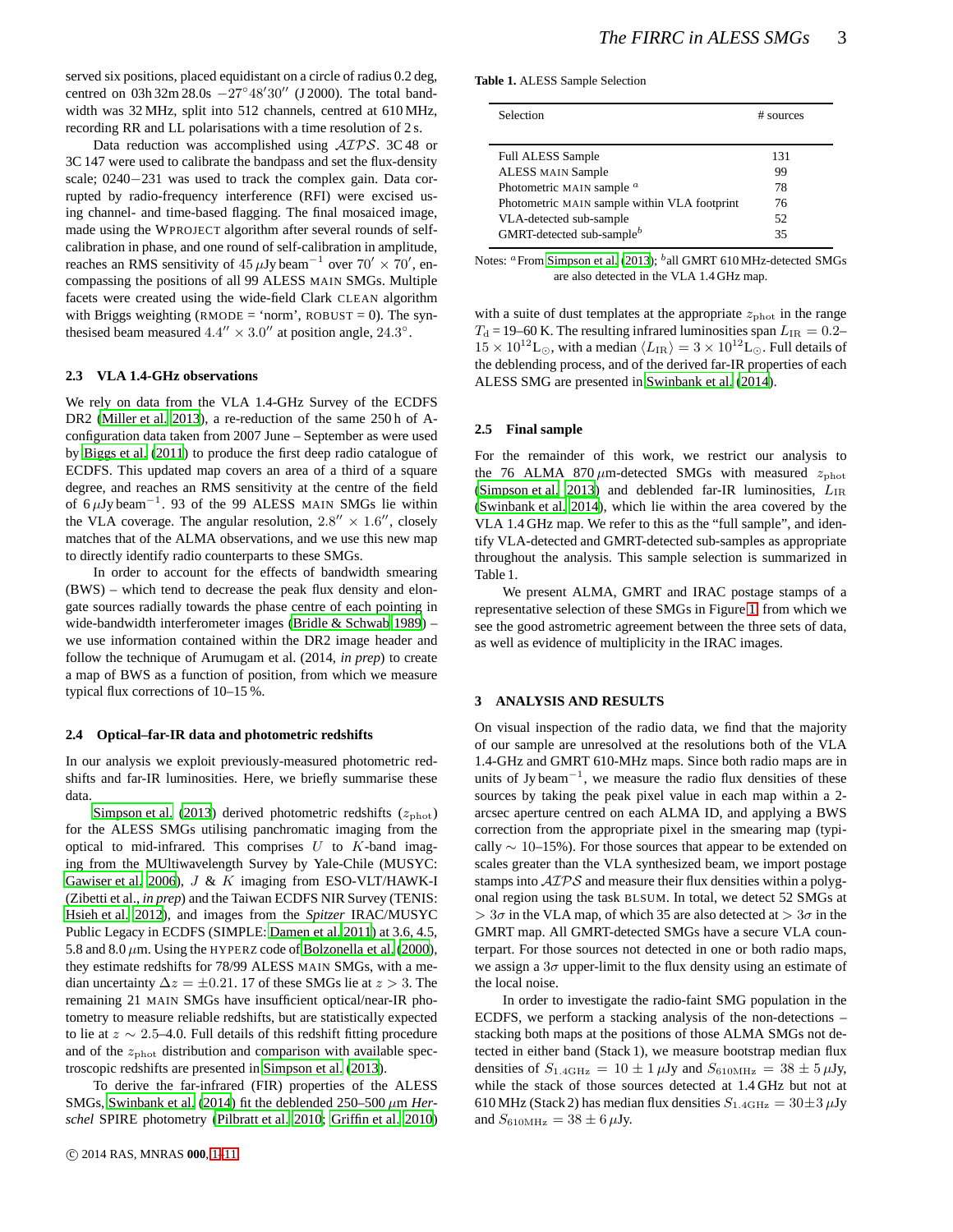served six positions, placed equidistant on a circle of radius 0.2 deg, centred on  $03h\,32m\,28.0s\ -27°\,48'30''$  (J 2000). The total bandwidth was 32 MHz, split into 512 channels, centred at 610 MHz, recording RR and LL polarisations with a time resolution of 2 s.

Data reduction was accomplished using AIPS. 3C 48 or 3C 147 were used to calibrate the bandpass and set the flux-density scale; 0240−231 was used to track the complex gain. Data corrupted by radio-frequency interference (RFI) were excised using channel- and time-based flagging. The final mosaiced image, made using the WPROJECT algorithm after several rounds of selfcalibration in phase, and one round of self-calibration in amplitude, reaches an RMS sensitivity of  $45 \,\mu\text{Jy}\,\text{beam}^{-1}$  over  $70' \times 70'$ , encompassing the positions of all 99 ALESS MAIN SMGs. Multiple facets were created using the wide-field Clark CLEAN algorithm with Briggs weighting (RMODE = 'norm', ROBUST = 0). The synthesised beam measured  $4.4'' \times 3.0''$  at position angle,  $24.3^{\circ}$ .

#### **2.3 VLA 1.4-GHz observations**

We rely on data from the VLA 1.4-GHz Survey of the ECDFS DR2 [\(Miller et al. 2013\)](#page-9-24), a re-reduction of the same 250 h of Aconfiguration data taken from 2007 June – September as were used by [Biggs et al. \(2011](#page-9-25)) to produce the first deep radio catalogue of ECDFS. This updated map covers an area of a third of a square degree, and reaches an RMS sensitivity at the centre of the field of 6 $\mu$ Jy beam<sup>-1</sup>. 93 of the 99 ALESS MAIN SMGs lie within the VLA coverage. The angular resolution,  $2.8'' \times 1.6''$ , closely matches that of the ALMA observations, and we use this new map to directly identify radio counterparts to these SMGs.

In order to account for the effects of bandwidth smearing (BWS) – which tend to decrease the peak flux density and elongate sources radially towards the phase centre of each pointing in wide-bandwidth interferometer images [\(Bridle & Schwab 1989](#page-9-26)) – we use information contained within the DR2 image header and follow the technique of Arumugam et al. (2014, *in prep*) to create a map of BWS as a function of position, from which we measure typical flux corrections of 10–15 %.

#### **2.4 Optical–far-IR data and photometric redshifts**

In our analysis we exploit previously-measured photometric redshifts and far-IR luminosities. Here, we briefly summarise these data.

[Simpson et al. \(2013](#page-10-8)) derived photometric redshifts  $(z_{phot})$ for the ALESS SMGs utilising panchromatic imaging from the optical to mid-infrared. This comprises  $U$  to  $K$ -band imaging from the MUltiwavelength Survey by Yale-Chile (MUSYC: [Gawiser et al. 2006](#page-9-27)),  $J \& K$  imaging from ESO-VLT/HAWK-I (Zibetti et al., *in prep*) and the Taiwan ECDFS NIR Survey (TENIS: [Hsieh et al. 2012\)](#page-9-28), and images from the *Spitzer* IRAC/MUSYC Public Legacy in ECDFS (SIMPLE: [Damen et al. 2011\)](#page-9-29) at 3.6, 4.5, 5.8 and 8.0  $\mu$ m. Using the HYPERZ code of [Bolzonella et al. \(2000\)](#page-9-30), they estimate redshifts for 78/99 ALESS MAIN SMGs, with a median uncertainty  $\Delta z = \pm 0.21$ . 17 of these SMGs lie at  $z > 3$ . The remaining 21 MAIN SMGs have insufficient optical/near-IR photometry to measure reliable redshifts, but are statistically expected to lie at  $z \sim 2.5$ –4.0. Full details of this redshift fitting procedure and of the  $z_{\text{phot}}$  distribution and comparison with available spectroscopic redshifts are presented in [Simpson et al.](#page-10-8) [\(2013](#page-10-8)).

To derive the far-infrared (FIR) properties of the ALESS SMGs, [Swinbank et al.](#page-10-1) [\(2014](#page-10-1)) fit the deblended 250–500 µm *Herschel* SPIRE photometry [\(Pilbratt et al. 2010;](#page-9-31) [Griffin et al. 2010](#page-9-32))

**Table 1.** ALESS Sample Selection

| Selection                                    | # sources |  |  |
|----------------------------------------------|-----------|--|--|
|                                              |           |  |  |
| <b>Full ALESS Sample</b>                     | 131       |  |  |
| <b>ALESS MAIN Sample</b>                     | 99        |  |  |
| Photometric MAIN sample <sup>a</sup>         | 78        |  |  |
| Photometric MAIN sample within VLA footprint | 76        |  |  |
| VLA-detected sub-sample                      | 52        |  |  |
| GMRT-detected sub-sample <sup>b</sup>        | 35        |  |  |

Notes: <sup>a</sup> From [Simpson et al. \(2013\)](#page-10-8); <sup>b</sup>all GMRT 610 MHz-detected SMGs are also detected in the VLA 1.4 GHz map.

with a suite of dust templates at the appropriate  $z_{\text{phot}}$  in the range  $T<sub>d</sub>$  = 19–60 K. The resulting infrared luminosities span  $L_{IR} = 0.2$ –  $15 \times 10^{12}$ L⊙, with a median  $\langle L_{\rm IR} \rangle = 3 \times 10^{12}$ L⊙. Full details of the deblending process, and of the derived far-IR properties of each ALESS SMG are presented in [Swinbank et al. \(2014](#page-10-1)).

#### **2.5 Final sample**

For the remainder of this work, we restrict our analysis to the 76 ALMA 870  $\mu$ m-detected SMGs with measured  $z_{phot}$ [\(Simpson et al. 2013](#page-10-8)) and deblended far-IR luminosities,  $L_{\text{IR}}$ [\(Swinbank et al. 2014\)](#page-10-1), which lie within the area covered by the VLA 1.4 GHz map. We refer to this as the "full sample", and identify VLA-detected and GMRT-detected sub-samples as appropriate throughout the analysis. This sample selection is summarized in Table 1.

We present ALMA, GMRT and IRAC postage stamps of a representative selection of these SMGs in Figure [1,](#page-3-0) from which we see the good astrometric agreement between the three sets of data, as well as evidence of multiplicity in the IRAC images.

#### **3 ANALYSIS AND RESULTS**

On visual inspection of the radio data, we find that the majority of our sample are unresolved at the resolutions both of the VLA 1.4-GHz and GMRT 610-MHz maps. Since both radio maps are in units of Jy beam<sup> $-1$ </sup>, we measure the radio flux densities of these sources by taking the peak pixel value in each map within a 2 arcsec aperture centred on each ALMA ID, and applying a BWS correction from the appropriate pixel in the smearing map (typically  $\sim$  10–15%). For those sources that appear to be extended on scales greater than the VLA synthesized beam, we import postage stamps into  $\mathcal{AIPS}$  and measure their flux densities within a polygonal region using the task BLSUM. In total, we detect 52 SMGs at  $> 3\sigma$  in the VLA map, of which 35 are also detected at  $> 3\sigma$  in the GMRT map. All GMRT-detected SMGs have a secure VLA counterpart. For those sources not detected in one or both radio maps, we assign a  $3\sigma$  upper-limit to the flux density using an estimate of the local noise.

In order to investigate the radio-faint SMG population in the ECDFS, we perform a stacking analysis of the non-detections – stacking both maps at the positions of those ALMA SMGs not detected in either band (Stack 1), we measure bootstrap median flux densities of  $S_{1.4\text{GHz}} = 10 \pm 1 \,\mu\text{Jy}$  and  $S_{610\text{MHz}} = 38 \pm 5 \,\mu\text{Jy}$ , while the stack of those sources detected at 1.4 GHz but not at 610 MHz (Stack 2) has median flux densities  $S_{1.4\text{GHz}} = 30 \pm 3 \,\mu\text{Jy}$ and  $S_{610\text{MHz}} = 38 \pm 6 \,\mu\text{Jy}$ .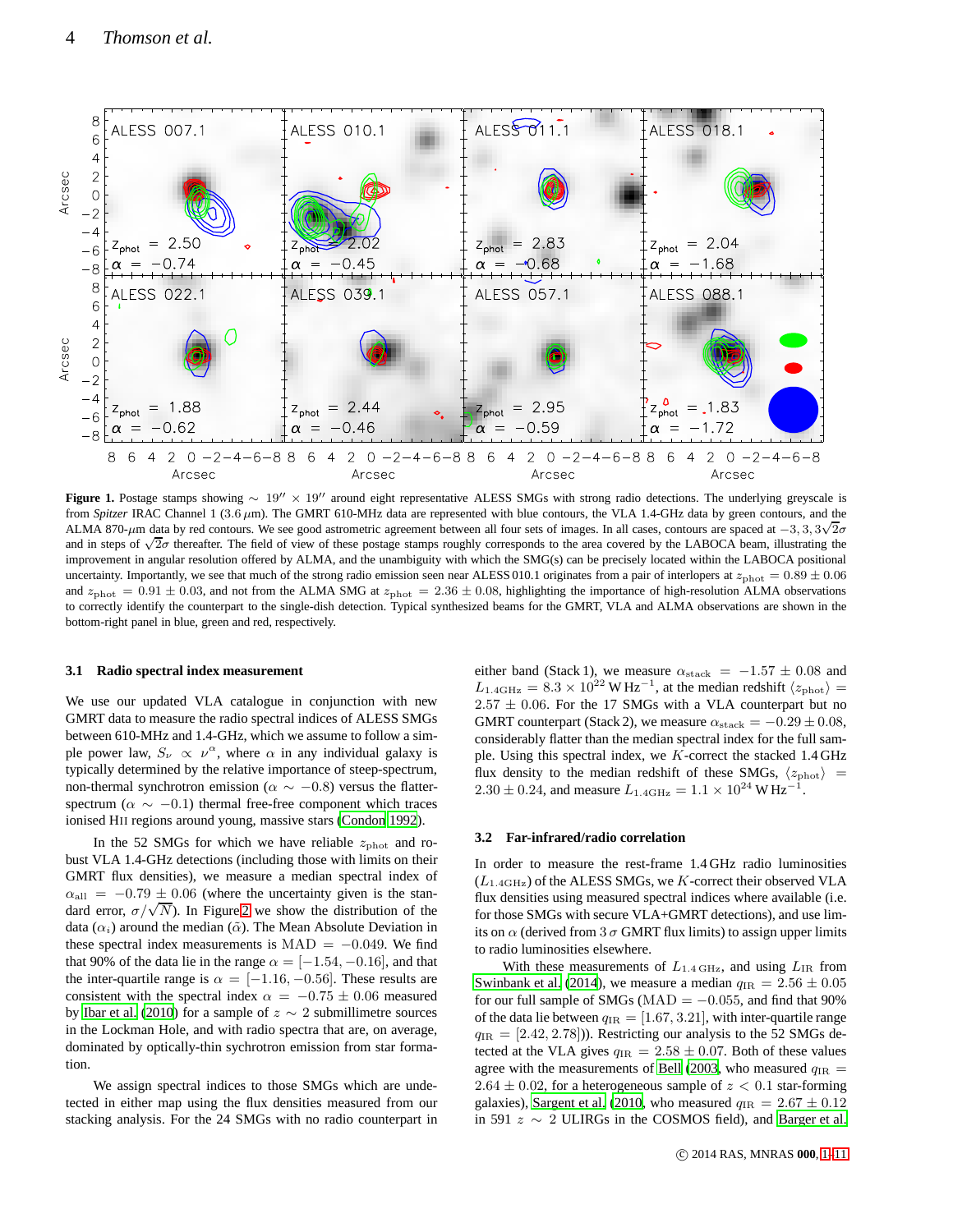

<span id="page-3-0"></span>**Figure 1.** Postage stamps showing <sup>∼</sup> <sup>19</sup>′′ <sup>×</sup> <sup>19</sup>′′ around eight representative ALESS SMGs with strong radio detections. The underlying greyscale is from *Spitzer* IRAC Channel 1 (3.6  $\mu$ m). The GMRT 610-MHz data are represented with blue contours, the VLA 1.4-GHz data by green contours, and the ALMA 870- $\mu$ m data by red contours. We see good astrometric agreement between all four sets of images. In all cases, contours are spaced at  $-3$ ,  $3$ ,  $3\sqrt{2}\sigma$ and in steps of  $\sqrt{2}\sigma$  thereafter. The field of view of these postage stamps roughly corresponds to the area covered by the LABOCA beam, illustrating the and in steps of  $\sqrt{2}\sigma$  thereafter. The field of view of these p improvement in angular resolution offered by ALMA, and the unambiguity with which the SMG(s) can be precisely located within the LABOCA positional uncertainty. Importantly, we see that much of the strong radio emission seen near ALESS 010.1 originates from a pair of interlopers at  $z_{\text{phot}} = 0.89 \pm 0.06$ and  $z_{\rm phot} = 0.91 \pm 0.03$ , and not from the ALMA SMG at  $z_{\rm phot} = 2.36 \pm 0.08$ , highlighting the importance of high-resolution ALMA observations to correctly identify the counterpart to the single-dish detection. Typical synthesized beams for the GMRT, VLA and ALMA observations are shown in the bottom-right panel in blue, green and red, respectively.

#### **3.1 Radio spectral index measurement**

We use our updated VLA catalogue in conjunction with new GMRT data to measure the radio spectral indices of ALESS SMGs between 610-MHz and 1.4-GHz, which we assume to follow a simple power law,  $S_{\nu} \propto \nu^{\alpha}$ , where  $\alpha$  in any individual galaxy is typically determined by the relative importance of steep-spectrum, non-thermal synchrotron emission ( $\alpha \sim -0.8$ ) versus the flatterspectrum ( $\alpha \sim -0.1$ ) thermal free-free component which traces ionised HII regions around young, massive stars [\(Condon 1992](#page-9-7)).

In the 52 SMGs for which we have reliable  $z_{\rm phot}$  and robust VLA 1.4-GHz detections (including those with limits on their GMRT flux densities), we measure a median spectral index of  $\alpha_{\text{all}} = -0.79 \pm 0.06$  (where the uncertainty given is the stan- $\frac{d}{dx}$  dard error,  $\sigma/\sqrt{N}$ ). In Figure [2](#page-5-0) we show the distribution of the data  $(\alpha_i)$  around the median  $(\tilde{\alpha})$ . The Mean Absolute Deviation in these spectral index measurements is MAD =  $-0.049$ . We find that 90% of the data lie in the range  $\alpha = [-1.54, -0.16]$ , and that the inter-quartile range is  $\alpha = [-1.16, -0.56]$ . These results are consistent with the spectral index  $\alpha = -0.75 \pm 0.06$  measured by [Ibar et al.](#page-9-20) [\(2010](#page-9-20)) for a sample of  $z \sim 2$  submillimetre sources in the Lockman Hole, and with radio spectra that are, on average, dominated by optically-thin sychrotron emission from star formation.

We assign spectral indices to those SMGs which are undetected in either map using the flux densities measured from our stacking analysis. For the 24 SMGs with no radio counterpart in either band (Stack 1), we measure  $\alpha_{\text{stack}} = -1.57 \pm 0.08$  and  $L_{1.4\text{GHz}} = 8.3 \times 10^{22} \text{W Hz}^{-1}$ , at the median redshift  $\langle z_{\text{phot}} \rangle$  =  $2.57 \pm 0.06$ . For the 17 SMGs with a VLA counterpart but no GMRT counterpart (Stack 2), we measure  $\alpha_{\text{stack}} = -0.29 \pm 0.08$ , considerably flatter than the median spectral index for the full sample. Using this spectral index, we K-correct the stacked 1.4 GHz flux density to the median redshift of these SMGs,  $\langle z_{\rm phot} \rangle$  =  $2.30 \pm 0.24$ , and measure  $L_{1.4\text{GHz}} = 1.1 \times 10^{24} \text{W Hz}^{-1}$ .

#### **3.2 Far-infrared/radio correlation**

In order to measure the rest-frame 1.4 GHz radio luminosities  $(L_{1.4\text{GHz}})$  of the ALESS SMGs, we K-correct their observed VLA flux densities using measured spectral indices where available (i.e. for those SMGs with secure VLA+GMRT detections), and use limits on  $\alpha$  (derived from 3  $\sigma$  GMRT flux limits) to assign upper limits to radio luminosities elsewhere.

With these measurements of  $L_{1.4\,\text{GHz}}$ , and using  $L_{IR}$  from [Swinbank et al. \(2014](#page-10-1)), we measure a median  $q_{IR} = 2.56 \pm 0.05$ for our full sample of SMGs ( $MAD = -0.055$ , and find that 90% of the data lie between  $q_{IR} = [1.67, 3.21]$ , with inter-quartile range  $q_{IR} = [2.42, 2.78]$ ). Restricting our analysis to the 52 SMGs detected at the VLA gives  $q_{\text{IR}} = 2.58 \pm 0.07$ . Both of these values agree with the measurements of [Bell](#page-9-33) [\(2003](#page-9-33), who measured  $q_{IR}$  =  $2.64 \pm 0.02$ , for a heterogeneous sample of  $z < 0.1$  star-forming galaxies), [Sargent et al. \(2010,](#page-10-5) who measured  $q_{IR} = 2.67 \pm 0.12$ in 591 z ∼ 2 ULIRGs in the COSMOS field), and [Barger et al.](#page-9-16)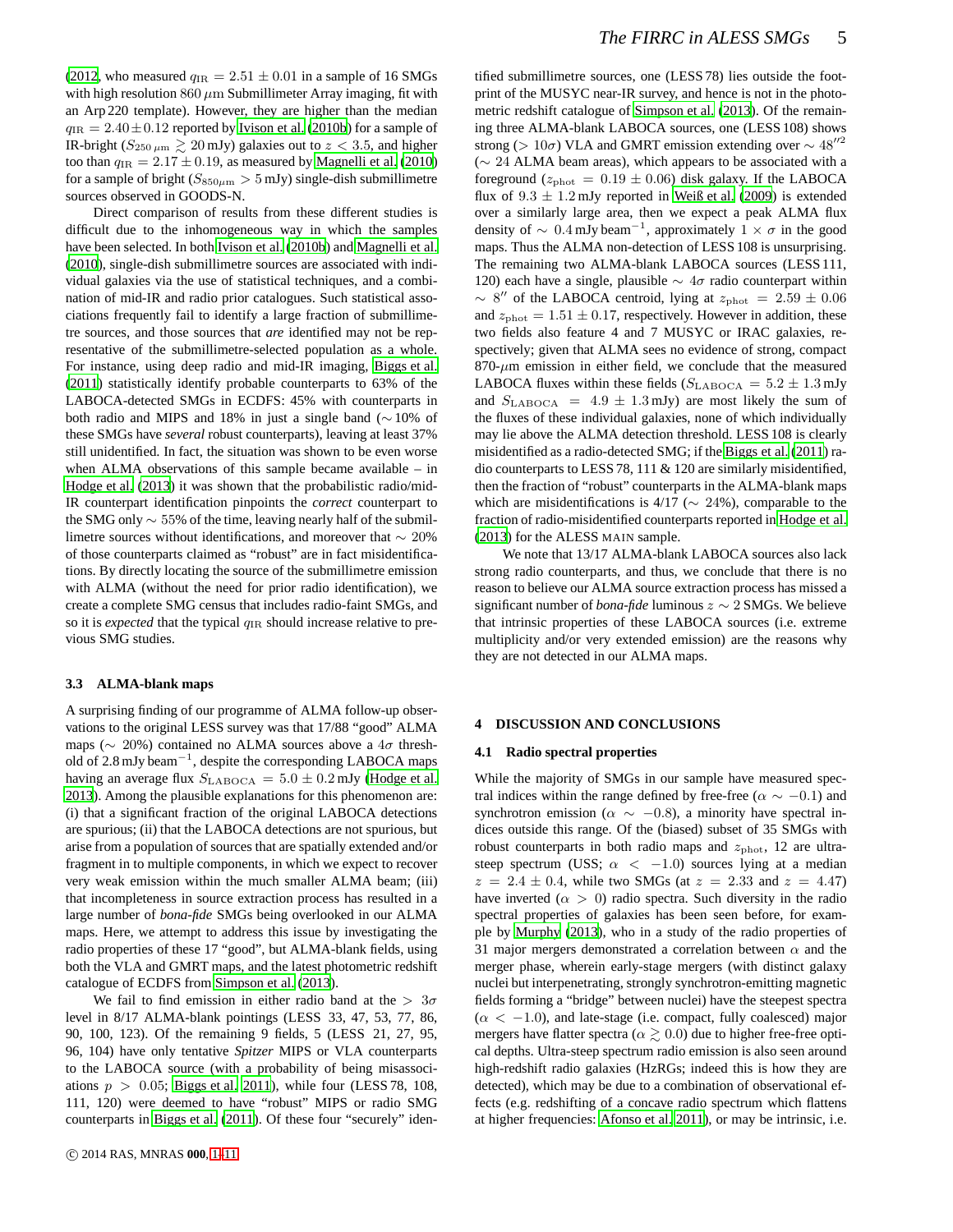[\(2012](#page-9-16), who measured  $q_{IR} = 2.51 \pm 0.01$  in a sample of 16 SMGs with high resolution  $860 \mu m$  Submillimeter Array imaging, fit with an Arp 220 template). However, they are higher than the median  $q_{\rm IR} = 2.40 \pm 0.12$  reported by [Ivison et al.](#page-9-18) [\(2010b](#page-9-18)) for a sample of IR-bright ( $S_{250 \mu m} \gtrsim 20 \text{ mJy}$ ) galaxies out to  $z < 3.5$ , and higher too than  $q_{IR} = 2.17 \pm 0.19$ , as measured by [Magnelli et al. \(2010](#page-9-34)) for a sample of bright ( $S_{850\mu m} > 5$  mJy) single-dish submillimetre sources observed in GOODS-N.

Direct comparison of results from these different studies is difficult due to the inhomogeneous way in which the samples have been selected. In both [Ivison et al. \(2010b](#page-9-18)) and [Magnelli et al.](#page-9-34) [\(2010\)](#page-9-34), single-dish submillimetre sources are associated with individual galaxies via the use of statistical techniques, and a combination of mid-IR and radio prior catalogues. Such statistical associations frequently fail to identify a large fraction of submillimetre sources, and those sources that *are* identified may not be representative of the submillimetre-selected population as a whole. For instance, using deep radio and mid-IR imaging, [Biggs et al.](#page-9-25) [\(2011\)](#page-9-25) statistically identify probable counterparts to 63% of the LABOCA-detected SMGs in ECDFS: 45% with counterparts in both radio and MIPS and 18% in just a single band (∼ 10% of these SMGs have *several* robust counterparts), leaving at least 37% still unidentified. In fact, the situation was shown to be even worse when ALMA observations of this sample became available – in [Hodge et al.](#page-9-19) [\(2013](#page-9-19)) it was shown that the probabilistic radio/mid-IR counterpart identification pinpoints the *correct* counterpart to the SMG only ∼ 55% of the time, leaving nearly half of the submillimetre sources without identifications, and moreover that ∼ 20% of those counterparts claimed as "robust" are in fact misidentifications. By directly locating the source of the submillimetre emission with ALMA (without the need for prior radio identification), we create a complete SMG census that includes radio-faint SMGs, and so it is *expected* that the typical  $q_{\text{IR}}$  should increase relative to previous SMG studies.

#### **3.3 ALMA-blank maps**

A surprising finding of our programme of ALMA follow-up observations to the original LESS survey was that 17/88 "good" ALMA maps ( $\sim$  20%) contained no ALMA sources above a 4 $\sigma$  threshold of 2.8 mJy beam<sup>-1</sup>, despite the corresponding LABOCA maps having an average flux  $S_{\text{LABOCA}} = 5.0 \pm 0.2 \text{ mJy}$  [\(Hodge et al.](#page-9-19) [2013\)](#page-9-19). Among the plausible explanations for this phenomenon are: (i) that a significant fraction of the original LABOCA detections are spurious; (ii) that the LABOCA detections are not spurious, but arise from a population of sources that are spatially extended and/or fragment in to multiple components, in which we expect to recover very weak emission within the much smaller ALMA beam; (iii) that incompleteness in source extraction process has resulted in a large number of *bona-fide* SMGs being overlooked in our ALMA maps. Here, we attempt to address this issue by investigating the radio properties of these 17 "good", but ALMA-blank fields, using both the VLA and GMRT maps, and the latest photometric redshift catalogue of ECDFS from [Simpson et al.](#page-10-8) [\(2013](#page-10-8)).

We fail to find emission in either radio band at the  $> 3\sigma$ level in 8/17 ALMA-blank pointings (LESS 33, 47, 53, 77, 86, 90, 100, 123). Of the remaining 9 fields, 5 (LESS 21, 27, 95, 96, 104) have only tentative *Spitzer* MIPS or VLA counterparts to the LABOCA source (with a probability of being misassociations  $p > 0.05$ ; [Biggs et al. 2011](#page-9-25)), while four (LESS 78, 108, 111, 120) were deemed to have "robust" MIPS or radio SMG counterparts in [Biggs et al. \(2011](#page-9-25)). Of these four "securely" iden-

tified submillimetre sources, one (LESS 78) lies outside the footprint of the MUSYC near-IR survey, and hence is not in the photometric redshift catalogue of [Simpson et al.](#page-10-8) [\(2013\)](#page-10-8). Of the remaining three ALMA-blank LABOCA sources, one (LESS 108) shows strong (> 10 $\sigma$ ) VLA and GMRT emission extending over  $\sim 48''^2$ (∼ 24 ALMA beam areas), which appears to be associated with a foreground ( $z_{\text{phot}} = 0.19 \pm 0.06$ ) disk galaxy. If the LABOCA flux of  $9.3 \pm 1.2$  mJy reported in [Weiß et al. \(2009](#page-10-7)) is extended over a similarly large area, then we expect a peak ALMA flux density of  $\sim 0.4 \text{ mJy beam}^{-1}$ , approximately  $1 \times \sigma$  in the good maps. Thus the ALMA non-detection of LESS 108 is unsurprising. The remaining two ALMA-blank LABOCA sources (LESS 111, 120) each have a single, plausible  $\sim 4\sigma$  radio counterpart within  $\sim$  8" of the LABOCA centroid, lying at  $z_{\text{phot}}$  = 2.59  $\pm$  0.06 and  $z_{\text{phot}} = 1.51 \pm 0.17$ , respectively. However in addition, these two fields also feature 4 and 7 MUSYC or IRAC galaxies, respectively; given that ALMA sees no evidence of strong, compact  $870-\mu m$  emission in either field, we conclude that the measured LABOCA fluxes within these fields ( $S_{\rm LABOCA} = 5.2 \pm 1.3$  mJy and  $S_{\text{LABOCA}} = 4.9 \pm 1.3 \text{ mJy}$  are most likely the sum of the fluxes of these individual galaxies, none of which individually may lie above the ALMA detection threshold. LESS 108 is clearly misidentified as a radio-detected SMG; if the [Biggs et al.](#page-9-25) [\(2011](#page-9-25)) radio counterparts to LESS 78, 111 & 120 are similarly misidentified, then the fraction of "robust" counterparts in the ALMA-blank maps which are misidentifications is 4/17 ( $\sim$  24%), comparable to the fraction of radio-misidentified counterparts reported in [Hodge et al.](#page-9-19) [\(2013](#page-9-19)) for the ALESS MAIN sample.

We note that 13/17 ALMA-blank LABOCA sources also lack strong radio counterparts, and thus, we conclude that there is no reason to believe our ALMA source extraction process has missed a significant number of *bona-fide* luminous z ∼ 2 SMGs. We believe that intrinsic properties of these LABOCA sources (i.e. extreme multiplicity and/or very extended emission) are the reasons why they are not detected in our ALMA maps.

## **4 DISCUSSION AND CONCLUSIONS**

#### **4.1 Radio spectral properties**

While the majority of SMGs in our sample have measured spectral indices within the range defined by free-free ( $\alpha \sim -0.1$ ) and synchrotron emission ( $\alpha \sim -0.8$ ), a minority have spectral indices outside this range. Of the (biased) subset of 35 SMGs with robust counterparts in both radio maps and  $z_{\text{phot}}$ , 12 are ultrasteep spectrum (USS;  $\alpha$  < -1.0) sources lying at a median  $z = 2.4 \pm 0.4$ , while two SMGs (at  $z = 2.33$  and  $z = 4.47$ ) have inverted ( $\alpha > 0$ ) radio spectra. Such diversity in the radio spectral properties of galaxies has been seen before, for example by [Murphy \(2013](#page-9-21)), who in a study of the radio properties of 31 major mergers demonstrated a correlation between  $\alpha$  and the merger phase, wherein early-stage mergers (with distinct galaxy nuclei but interpenetrating, strongly synchrotron-emitting magnetic fields forming a "bridge" between nuclei) have the steepest spectra  $(\alpha < -1.0)$ , and late-stage (i.e. compact, fully coalesced) major mergers have flatter spectra ( $\alpha \gtrsim 0.0$ ) due to higher free-free optical depths. Ultra-steep spectrum radio emission is also seen around high-redshift radio galaxies (HzRGs; indeed this is how they are detected), which may be due to a combination of observational effects (e.g. redshifting of a concave radio spectrum which flattens at higher frequencies: [Afonso et al. 2011](#page-9-35)), or may be intrinsic, i.e.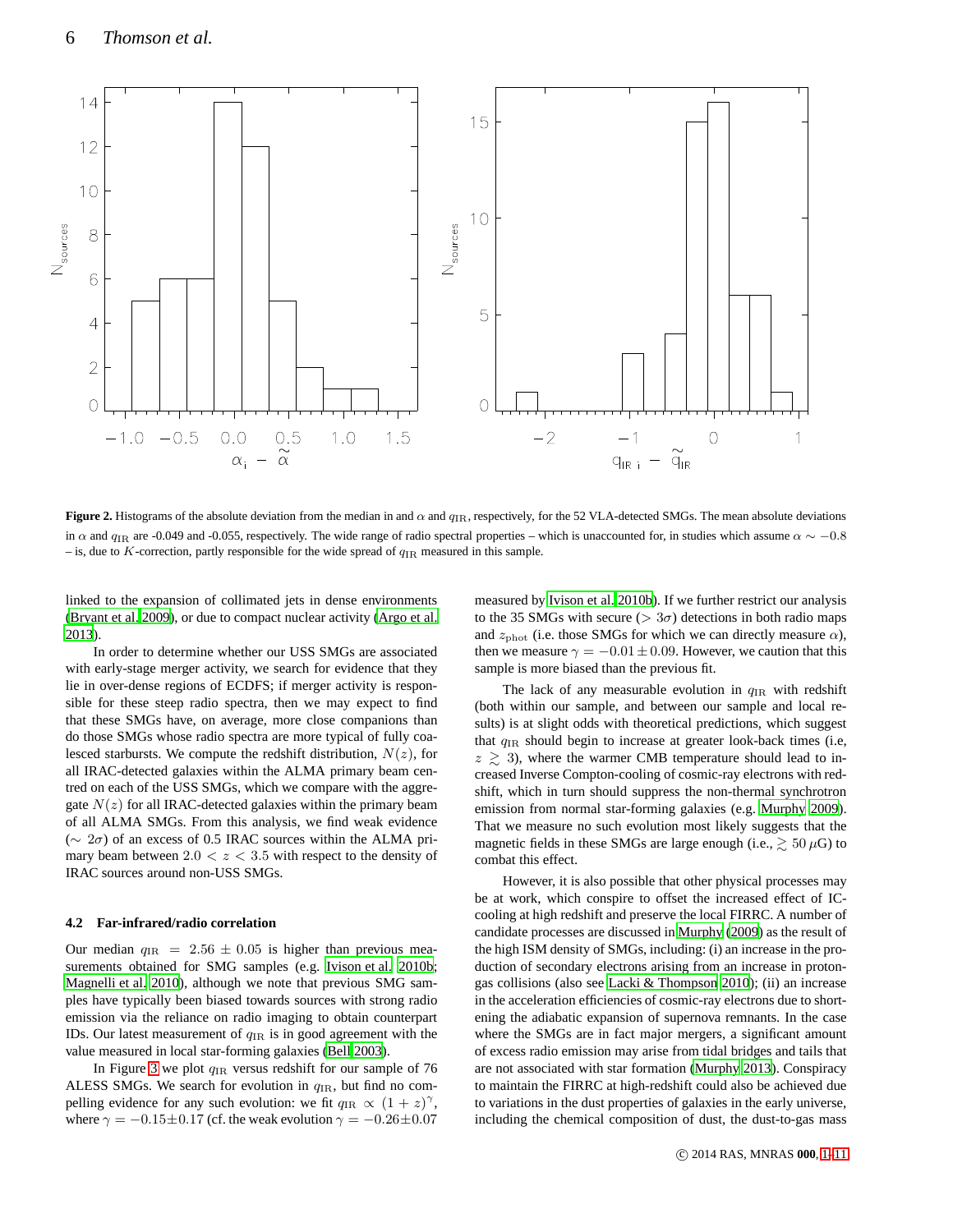

<span id="page-5-0"></span>**Figure 2.** Histograms of the absolute deviation from the median in and  $\alpha$  and  $q_{IR}$ , respectively, for the 52 VLA-detected SMGs. The mean absolute deviations in  $\alpha$  and  $q_{IR}$  are -0.049 and -0.055, respectively. The wide range of radio spectral properties – which is unaccounted for, in studies which assume  $\alpha \sim -0.8$ – is, due to  $K$ -correction, partly responsible for the wide spread of  $q_{IR}$  measured in this sample.

linked to the expansion of collimated jets in dense environments [\(Bryant et al. 2009](#page-9-36)), or due to compact nuclear activity [\(Argo et al.](#page-9-37) [2013\)](#page-9-37).

In order to determine whether our USS SMGs are associated with early-stage merger activity, we search for evidence that they lie in over-dense regions of ECDFS; if merger activity is responsible for these steep radio spectra, then we may expect to find that these SMGs have, on average, more close companions than do those SMGs whose radio spectra are more typical of fully coalesced starbursts. We compute the redshift distribution,  $N(z)$ , for all IRAC-detected galaxies within the ALMA primary beam centred on each of the USS SMGs, which we compare with the aggregate  $N(z)$  for all IRAC-detected galaxies within the primary beam of all ALMA SMGs. From this analysis, we find weak evidence (∼ 2σ) of an excess of 0.5 IRAC sources within the ALMA primary beam between  $2.0 < z < 3.5$  with respect to the density of IRAC sources around non-USS SMGs.

#### **4.2 Far-infrared/radio correlation**

Our median  $q_{\text{IR}}$  = 2.56  $\pm$  0.05 is higher than previous measurements obtained for SMG samples (e.g. [Ivison et al. 2010b;](#page-9-18) [Magnelli et al. 2010](#page-9-34)), although we note that previous SMG samples have typically been biased towards sources with strong radio emission via the reliance on radio imaging to obtain counterpart IDs. Our latest measurement of  $q_{IR}$  is in good agreement with the value measured in local star-forming galaxies [\(Bell 2003](#page-9-33)).

In Figure [3](#page-6-0) we plot  $q_{IR}$  versus redshift for our sample of 76 ALESS SMGs. We search for evolution in  $q_{IR}$ , but find no compelling evidence for any such evolution: we fit  $q_{IR} \propto (1+z)^{\gamma}$ , where  $\gamma = -0.15 \pm 0.17$  (cf. the weak evolution  $\gamma = -0.26 \pm 0.07$ 

measured by [Ivison et al. 2010b](#page-9-18)). If we further restrict our analysis to the 35 SMGs with secure ( $> 3\sigma$ ) detections in both radio maps and  $z_{\rm phot}$  (i.e. those SMGs for which we can directly measure  $\alpha$ ), then we measure  $\gamma = -0.01 \pm 0.09$ . However, we caution that this sample is more biased than the previous fit.

The lack of any measurable evolution in  $q_{IR}$  with redshift (both within our sample, and between our sample and local results) is at slight odds with theoretical predictions, which suggest that  $q_{\text{IR}}$  should begin to increase at greater look-back times (i.e,  $z \geq 3$ ), where the warmer CMB temperature should lead to increased Inverse Compton-cooling of cosmic-ray electrons with redshift, which in turn should suppress the non-thermal synchrotron emission from normal star-forming galaxies (e.g. [Murphy 2009](#page-9-38)). That we measure no such evolution most likely suggests that the magnetic fields in these SMGs are large enough (i.e.,  $\gtrsim 50 \,\mu$ G) to combat this effect.

However, it is also possible that other physical processes may be at work, which conspire to offset the increased effect of ICcooling at high redshift and preserve the local FIRRC. A number of candidate processes are discussed in [Murphy](#page-9-38) [\(2009](#page-9-38)) as the result of the high ISM density of SMGs, including: (i) an increase in the production of secondary electrons arising from an increase in protongas collisions (also see [Lacki & Thompson 2010\)](#page-9-6); (ii) an increase in the acceleration efficiencies of cosmic-ray electrons due to shortening the adiabatic expansion of supernova remnants. In the case where the SMGs are in fact major mergers, a significant amount of excess radio emission may arise from tidal bridges and tails that are not associated with star formation [\(Murphy 2013\)](#page-9-21). Conspiracy to maintain the FIRRC at high-redshift could also be achieved due to variations in the dust properties of galaxies in the early universe, including the chemical composition of dust, the dust-to-gas mass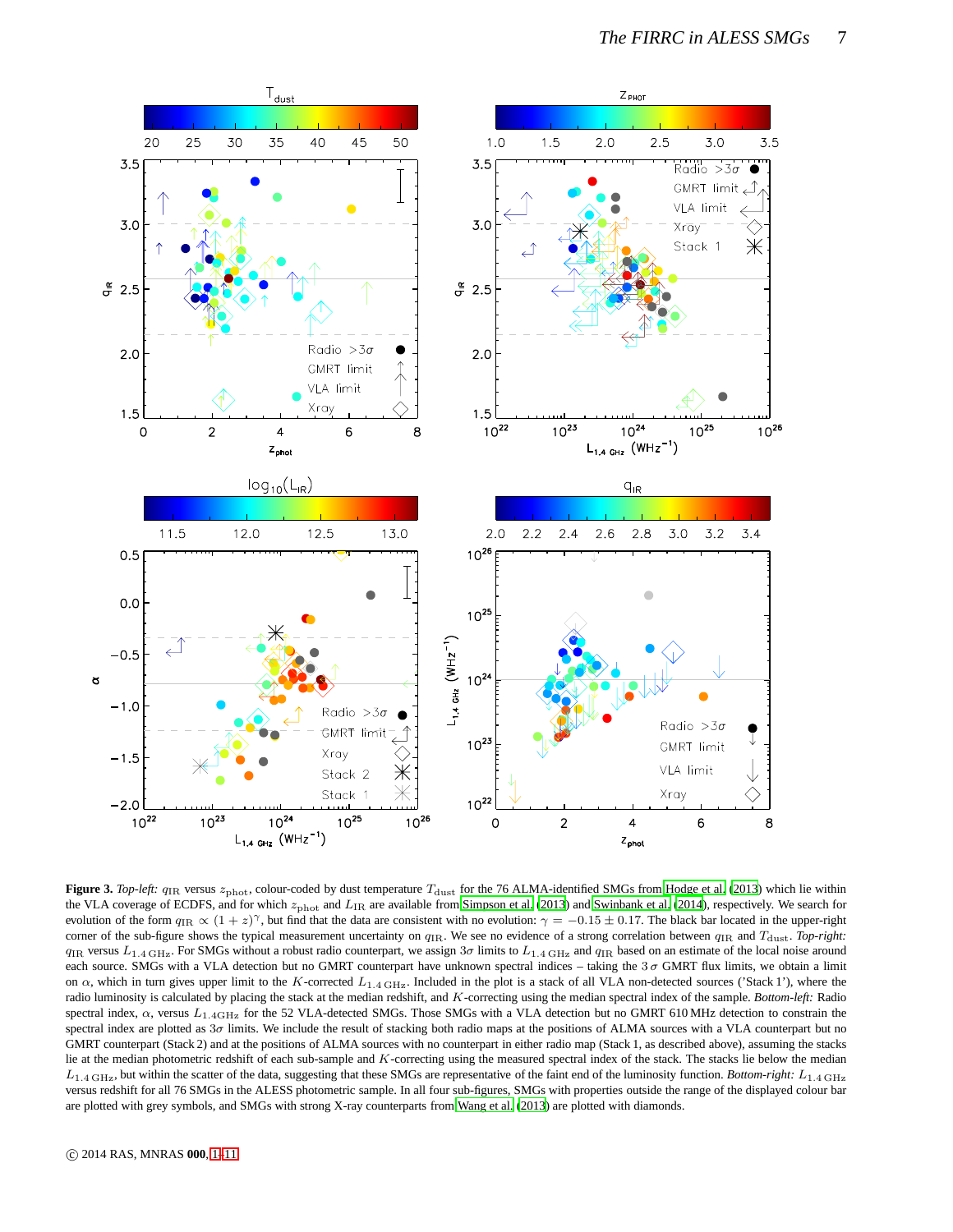![](_page_6_Figure_1.jpeg)

<span id="page-6-0"></span>**Figure 3.** *Top-left:*  $q_{\text{IR}}$  versus  $z_{\text{phot}}$ , colour-coded by dust temperature  $T_{\text{dust}}$  for the 76 ALMA-identified SMGs from [Hodge et al. \(2013](#page-9-19)) which lie within the VLA coverage of ECDFS, and for which  $z_{\text{phot}}$  and  $L_{\text{IR}}$  are available from [Simpson et al.](#page-10-8) [\(2013](#page-10-8)) and [Swinbank et al. \(2014\)](#page-10-1), respectively. We search for evolution of the form  $q_{IR} \propto (1+z)^{\gamma}$ , but find that the data are consistent with no evolution:  $\gamma = -0.15 \pm 0.17$ . The black bar located in the upper-right corner of the sub-figure shows the typical measurement uncertainty on  $q_{IR}$ . We see no evidence of a strong correlation between  $q_{IR}$  and  $T_{\text{dust}}$ . *Top-right:*  $q_{\text{IR}}$  versus  $L_{1.4 \text{ GHz}}$ . For SMGs without a robust radio counterpart, we assign 3 $\sigma$  limits to  $L_{1.4 \text{ GHz}}$  and  $q_{\text{IR}}$  based on an estimate of the local noise around each source. SMGs with a VLA detection but no GMRT counterpart have unknown spectral indices – taking the  $3\sigma$  GMRT flux limits, we obtain a limit on  $\alpha$ , which in turn gives upper limit to the K-corrected  $L_{1.4 \text{ GHz}}$ . Included in the plot is a stack of all VLA non-detected sources ('Stack 1'), where the radio luminosity is calculated by placing the stack at the median redshift, and K-correcting using the median spectral index of the sample. *Bottom-left:* Radio spectral index,  $\alpha$ , versus  $L_{1.4\text{GHz}}$  for the 52 VLA-detected SMGs. Those SMGs with a VLA detection but no GMRT 610 MHz detection to constrain the spectral index are plotted as  $3\sigma$  limits. We include the result of stacking both radio maps at the positions of ALMA sources with a VLA counterpart but no GMRT counterpart (Stack 2) and at the positions of ALMA sources with no counterpart in either radio map (Stack 1, as described above), assuming the stacks lie at the median photometric redshift of each sub-sample and  $K$ -correcting using the measured spectral index of the stack. The stacks lie below the median  $L_{1.4\text{ GHz}}$ , but within the scatter of the data, suggesting that these SMGs are representative of the faint end of the luminosity function. *Bottom-right:*  $L_{1.4\text{ GHz}}$ versus redshift for all 76 SMGs in the ALESS photometric sample. In all four sub-figures, SMGs with properties outside the range of the displayed colour bar are plotted with grey symbols, and SMGs with strong X-ray counterparts from [Wang et al. \(2013\)](#page-10-9) are plotted with diamonds.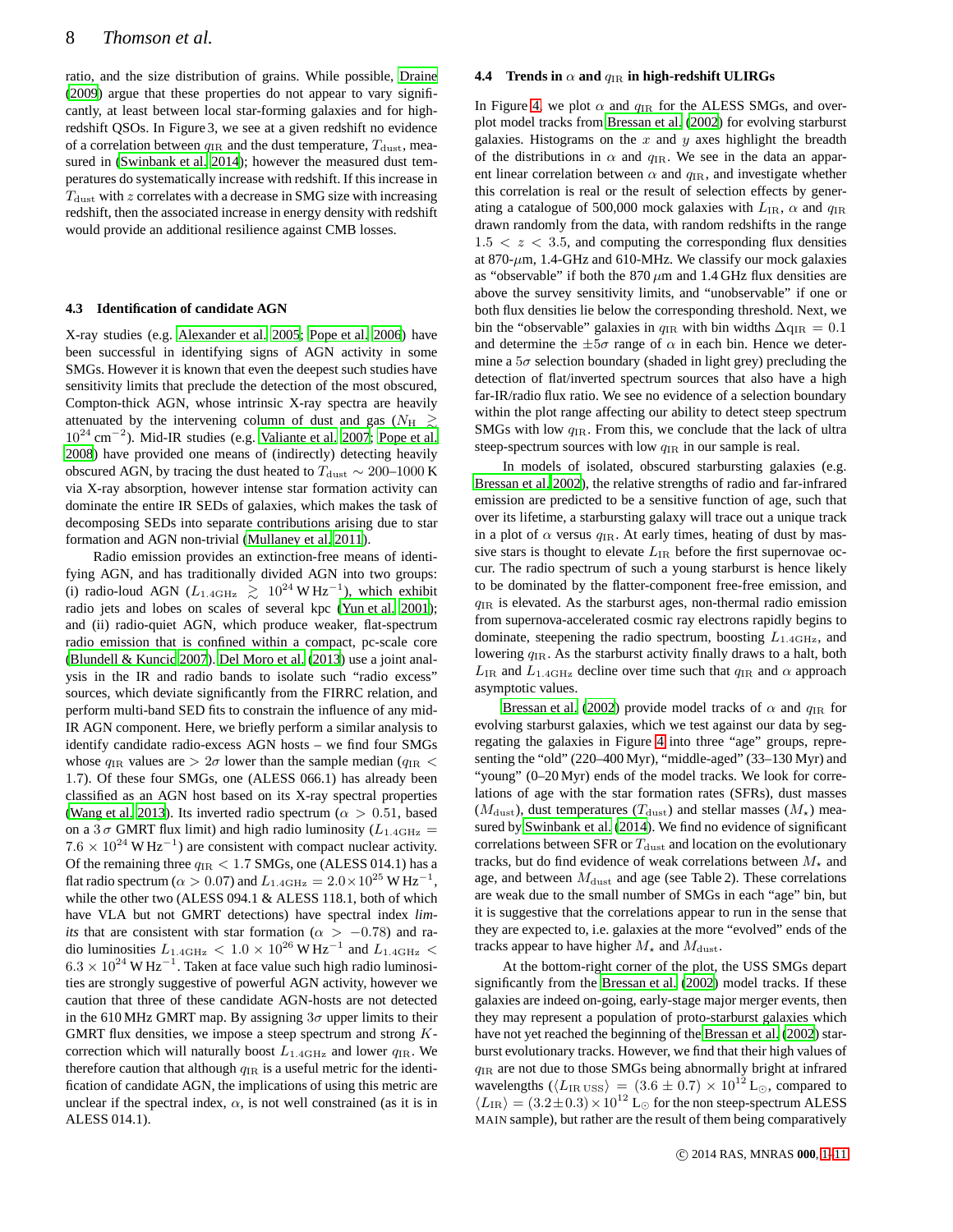ratio, and the size distribution of grains. While possible, [Draine](#page-9-39) [\(2009\)](#page-9-39) argue that these properties do not appear to vary significantly, at least between local star-forming galaxies and for highredshift QSOs. In Figure 3, we see at a given redshift no evidence of a correlation between  $q_{IR}$  and the dust temperature,  $T_{\text{dust}}$ , measured in [\(Swinbank et al. 2014\)](#page-10-1); however the measured dust temperatures do systematically increase with redshift. If this increase in  $T_{\text{dust}}$  with z correlates with a decrease in SMG size with increasing redshift, then the associated increase in energy density with redshift would provide an additional resilience against CMB losses.

# **4.3 Identification of candidate AGN**

X-ray studies (e.g. [Alexander et al. 2005;](#page-9-40) [Pope et al. 2006](#page-9-41)) have been successful in identifying signs of AGN activity in some SMGs. However it is known that even the deepest such studies have sensitivity limits that preclude the detection of the most obscured, Compton-thick AGN, whose intrinsic X-ray spectra are heavily attenuated by the intervening column of dust and gas ( $N_{\rm H} \ge$ ) 10<sup>24</sup> cm<sup>−</sup><sup>2</sup> ). Mid-IR studies (e.g. [Valiante et al. 2007;](#page-10-10) [Pope et al.](#page-9-42) [2008\)](#page-9-42) have provided one means of (indirectly) detecting heavily obscured AGN, by tracing the dust heated to  $T_{\text{dust}} \sim 200-1000 \text{ K}$ via X-ray absorption, however intense star formation activity can dominate the entire IR SEDs of galaxies, which makes the task of decomposing SEDs into separate contributions arising due to star formation and AGN non-trivial [\(Mullaney et al. 2011](#page-9-43)).

Radio emission provides an extinction-free means of identifying AGN, and has traditionally divided AGN into two groups: (i) radio-loud AGN ( $L_{1.4\text{GHz}} \geq 10^{24} \text{W Hz}^{-1}$ ), which exhibit radio jets and lobes on scales of several kpc [\(Yun et al. 2001\)](#page-10-11); and (ii) radio-quiet AGN, which produce weaker, flat-spectrum radio emission that is confined within a compact, pc-scale core [\(Blundell & Kuncic 2007](#page-9-44)). [Del Moro et al. \(2013\)](#page-9-10) use a joint analysis in the IR and radio bands to isolate such "radio excess" sources, which deviate significantly from the FIRRC relation, and perform multi-band SED fits to constrain the influence of any mid-IR AGN component. Here, we briefly perform a similar analysis to identify candidate radio-excess AGN hosts – we find four SMGs whose  $q_{IR}$  values are  $> 2\sigma$  lower than the sample median ( $q_{IR}$  < 1.7). Of these four SMGs, one (ALESS 066.1) has already been classified as an AGN host based on its X-ray spectral properties [\(Wang et al. 2013](#page-10-9)). Its inverted radio spectrum ( $\alpha > 0.51$ , based on a 3  $\sigma$  GMRT flux limit) and high radio luminosity ( $L_{1.4\text{GHz}}$  =  $7.6 \times 10^{24}$  W Hz<sup>-1</sup>) are consistent with compact nuclear activity. Of the remaining three  $q_{IR} < 1.7$  SMGs, one (ALESS 014.1) has a flat radio spectrum ( $\alpha > 0.07$ ) and  $L_{1.4\text{GHz}} = 2.0 \times 10^{25} \text{ W Hz}^{-1}$ , while the other two (ALESS 094.1 & ALESS 118.1, both of which have VLA but not GMRT detections) have spectral index *limits* that are consistent with star formation ( $\alpha$  > −0.78) and radio luminosities  $L_{1.4\text{GHz}} < 1.0 \times 10^{26} \text{W Hz}^{-1}$  and  $L_{1.4\text{GHz}} <$  $6.3 \times 10^{24}$  W Hz<sup>-1</sup>. Taken at face value such high radio luminosities are strongly suggestive of powerful AGN activity, however we caution that three of these candidate AGN-hosts are not detected in the 610 MHz GMRT map. By assigning  $3\sigma$  upper limits to their GMRT flux densities, we impose a steep spectrum and strong  $K$ correction which will naturally boost  $L_{1.4\text{GHz}}$  and lower  $q_{\text{IR}}$ . We therefore caution that although  $q_{IR}$  is a useful metric for the identification of candidate AGN, the implications of using this metric are unclear if the spectral index,  $\alpha$ , is not well constrained (as it is in ALESS 014.1).

## **4.4** Trends in  $\alpha$  and  $q_{\text{IR}}$  in high-redshift ULIRGs

In Figure [4,](#page-8-0) we plot  $\alpha$  and  $q_{IR}$  for the ALESS SMGs, and overplot model tracks from [Bressan et al. \(2002\)](#page-9-8) for evolving starburst galaxies. Histograms on the  $x$  and  $y$  axes highlight the breadth of the distributions in  $\alpha$  and  $q_{\text{IR}}$ . We see in the data an apparent linear correlation between  $\alpha$  and  $q_{\text{IR}}$ , and investigate whether this correlation is real or the result of selection effects by generating a catalogue of 500,000 mock galaxies with  $L_{IR}$ ,  $\alpha$  and  $q_{IR}$ drawn randomly from the data, with random redshifts in the range  $1.5 < z < 3.5$ , and computing the corresponding flux densities at 870- $\mu$ m, 1.4-GHz and 610-MHz. We classify our mock galaxies as "observable" if both the  $870 \,\mu m$  and  $1.4 \,\text{GHz}$  flux densities are above the survey sensitivity limits, and "unobservable" if one or both flux densities lie below the corresponding threshold. Next, we bin the "observable" galaxies in  $q_{IR}$  with bin widths  $\Delta q_{IR} = 0.1$ and determine the  $\pm 5\sigma$  range of  $\alpha$  in each bin. Hence we determine a  $5\sigma$  selection boundary (shaded in light grey) precluding the detection of flat/inverted spectrum sources that also have a high far-IR/radio flux ratio. We see no evidence of a selection boundary within the plot range affecting our ability to detect steep spectrum SMGs with low  $q_{IR}$ . From this, we conclude that the lack of ultra steep-spectrum sources with low  $q_{IR}$  in our sample is real.

In models of isolated, obscured starbursting galaxies (e.g. [Bressan et al. 2002](#page-9-8)), the relative strengths of radio and far-infrared emission are predicted to be a sensitive function of age, such that over its lifetime, a starbursting galaxy will trace out a unique track in a plot of  $\alpha$  versus  $q_{\rm IR}$ . At early times, heating of dust by massive stars is thought to elevate  $L_{IR}$  before the first supernovae occur. The radio spectrum of such a young starburst is hence likely to be dominated by the flatter-component free-free emission, and  $q_{IR}$  is elevated. As the starburst ages, non-thermal radio emission from supernova-accelerated cosmic ray electrons rapidly begins to dominate, steepening the radio spectrum, boosting  $L_{1.4\text{GHz}}$ , and lowering  $q_{IR}$ . As the starburst activity finally draws to a halt, both  $L_{\rm IR}$  and  $L_{1.4\rm GHz}$  decline over time such that  $q_{\rm IR}$  and  $\alpha$  approach asymptotic values.

[Bressan et al. \(2002](#page-9-8)) provide model tracks of  $\alpha$  and  $q_{IR}$  for evolving starburst galaxies, which we test against our data by segregating the galaxies in Figure [4](#page-8-0) into three "age" groups, representing the "old" (220–400 Myr), "middle-aged" (33–130 Myr) and "young" (0–20 Myr) ends of the model tracks. We look for correlations of age with the star formation rates (SFRs), dust masses  $(M<sub>dust</sub>)$ , dust temperatures  $(T<sub>dust</sub>)$  and stellar masses  $(M<sub>\star</sub>)$  measured by [Swinbank et al. \(2014\)](#page-10-1). We find no evidence of significant correlations between SFR or  $T_{\text{dust}}$  and location on the evolutionary tracks, but do find evidence of weak correlations between  $M_{\star}$  and age, and between  $M_{\text{dust}}$  and age (see Table 2). These correlations are weak due to the small number of SMGs in each "age" bin, but it is suggestive that the correlations appear to run in the sense that they are expected to, i.e. galaxies at the more "evolved" ends of the tracks appear to have higher  $M_{\star}$  and  $M_{\text{dust}}$ .

At the bottom-right corner of the plot, the USS SMGs depart significantly from the [Bressan et al. \(2002\)](#page-9-8) model tracks. If these galaxies are indeed on-going, early-stage major merger events, then they may represent a population of proto-starburst galaxies which have not yet reached the beginning of the [Bressan et al.](#page-9-8) [\(2002](#page-9-8)) starburst evolutionary tracks. However, we find that their high values of qIR are not due to those SMGs being abnormally bright at infrared wavelengths ( $\langle L_{\rm IR\,USS} \rangle$  = (3.6 ± 0.7) × 10<sup>12</sup> L<sub>☉</sub>, compared to  $\langle L_{\rm IR} \rangle = (3.2\pm0.3)\times10^{12}$  L<sub>⊙</sub> for the non steep-spectrum ALESS MAIN sample), but rather are the result of them being comparatively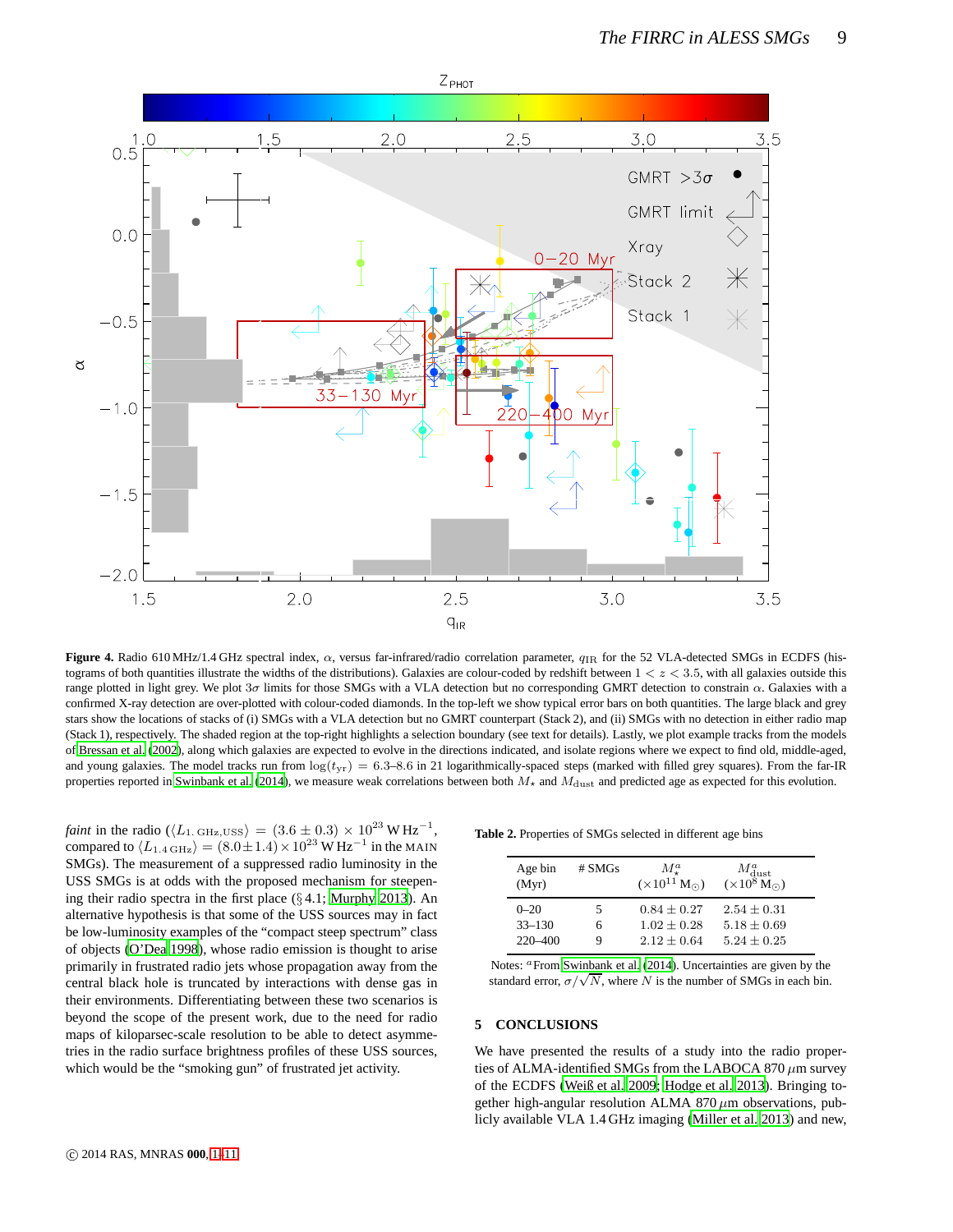![](_page_8_Figure_1.jpeg)

<span id="page-8-0"></span>Figure 4. Radio 610 MHz/1.4 GHz spectral index, α, versus far-infrared/radio correlation parameter,  $q_{IR}$  for the 52 VLA-detected SMGs in ECDFS (histograms of both quantities illustrate the widths of the distributions). Galaxies are colour-coded by redshift between  $1 < z < 3.5$ , with all galaxies outside this range plotted in light grey. We plot  $3\sigma$  limits for those SMGs with a VLA detection but no corresponding GMRT detection to constrain  $\alpha$ . Galaxies with a confirmed X-ray detection are over-plotted with colour-coded diamonds. In the top-left we show typical error bars on both quantities. The large black and grey stars show the locations of stacks of (i) SMGs with a VLA detection but no GMRT counterpart (Stack 2), and (ii) SMGs with no detection in either radio map (Stack 1), respectively. The shaded region at the top-right highlights a selection boundary (see text for details). Lastly, we plot example tracks from the models of [Bressan et al. \(2002\)](#page-9-8), along which galaxies are expected to evolve in the directions indicated, and isolate regions where we expect to find old, middle-aged, and young galaxies. The model tracks run from  $\log(t_{\text{yr}}) = 6.3$ –8.6 in 21 logarithmically-spaced steps (marked with filled grey squares). From the far-IR properties reported in [Swinbank et al. \(2014\)](#page-10-1), we measure weak correlations between both  $M_{\star}$  and  $M_{\text{dust}}$  and predicted age as expected for this evolution.

*faint* in the radio ( $\langle L_{1. \text{ GHz, USS}} \rangle = (3.6 \pm 0.3) \times 10^{23} \text{ W Hz}^{-1}$ , compared to  $\langle L_{1.4\,\text{GHz}} \rangle = (8.0 \pm 1.4) \times 10^{23} \,\text{W} \,\text{Hz}^{-1}$  in the MAIN SMGs). The measurement of a suppressed radio luminosity in the USS SMGs is at odds with the proposed mechanism for steepening their radio spectra in the first place (§ 4.1; [Murphy 2013](#page-9-21)). An alternative hypothesis is that some of the USS sources may in fact be low-luminosity examples of the "compact steep spectrum" class of objects [\(O'Dea 1998](#page-9-45)), whose radio emission is thought to arise primarily in frustrated radio jets whose propagation away from the central black hole is truncated by interactions with dense gas in their environments. Differentiating between these two scenarios is beyond the scope of the present work, due to the need for radio maps of kiloparsec-scale resolution to be able to detect asymmetries in the radio surface brightness profiles of these USS sources, which would be the "smoking gun" of frustrated jet activity.

**Table 2.** Properties of SMGs selected in different age bins

| Age bin<br>(Myr) | #SMGs | $M_{\tau}^{a}$<br>$(\times 10^{11} M_{\odot})$ | $M_{\text{dust}}^a$<br>(×10 <sup>8</sup> M <sub><math>\odot</math></sub> ) |
|------------------|-------|------------------------------------------------|----------------------------------------------------------------------------|
| $0 - 20$         | 5     | $0.84 + 0.27$                                  | $2.54 + 0.31$                                                              |
| $33 - 130$       | 6     | $1.02 + 0.28$                                  | $5.18 + 0.69$                                                              |
| $220 - 400$      | g     | $2.12 + 0.64$                                  | $5.24 + 0.25$                                                              |

Notes: <sup>a</sup>From [Swinbank et al. \(2014](#page-10-1)). Uncertainties are given by the standard error,  $\sigma/\sqrt{N}$ , where N is the number of SMGs in each bin.

# **5 CONCLUSIONS**

We have presented the results of a study into the radio properties of ALMA-identified SMGs from the LABOCA 870  $\mu$ m survey of the ECDFS [\(Weiß et al. 2009;](#page-10-7) [Hodge et al. 2013](#page-9-19)). Bringing together high-angular resolution ALMA 870  $\mu$ m observations, publicly available VLA 1.4 GHz imaging [\(Miller et al. 2013](#page-9-24)) and new,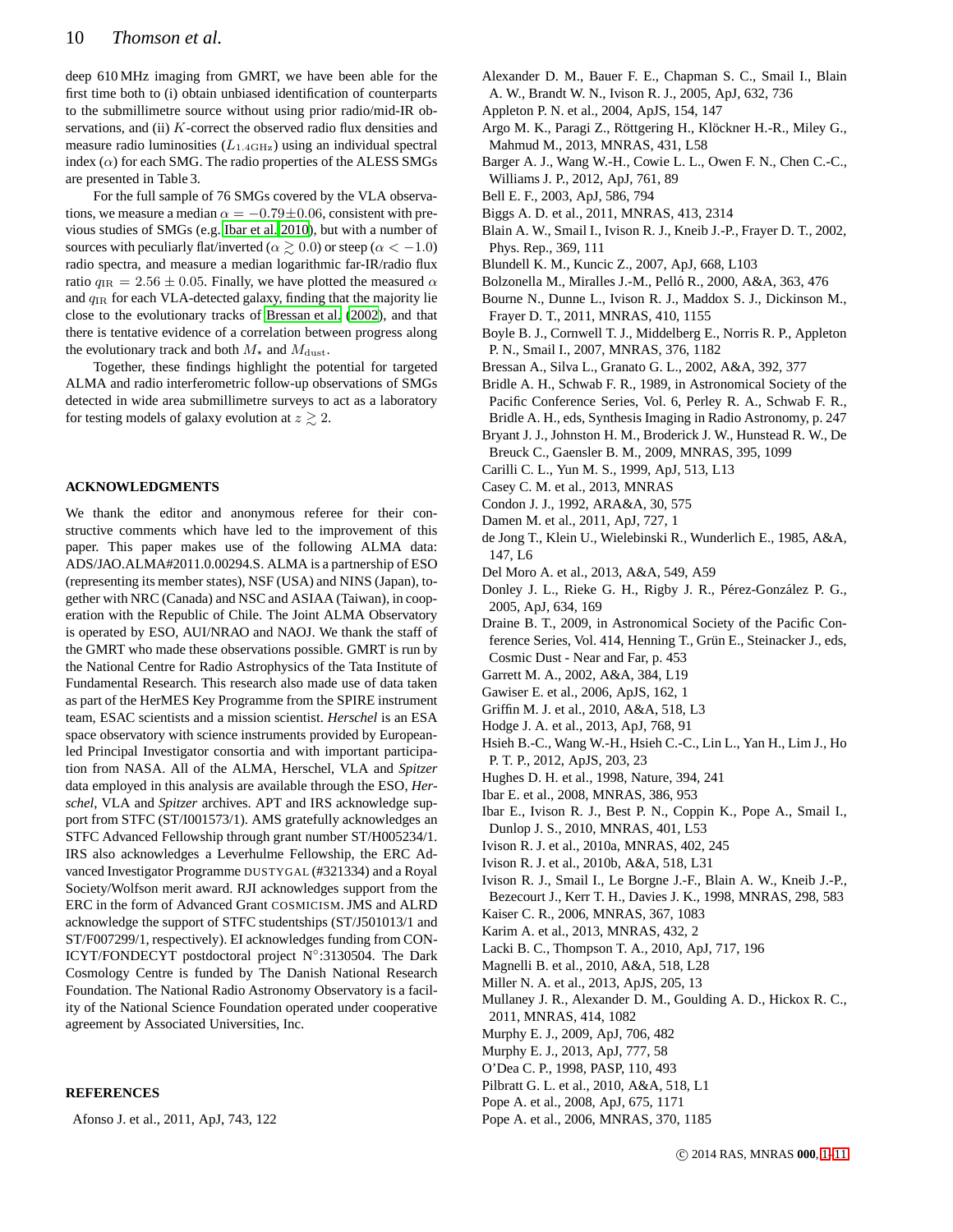deep 610 MHz imaging from GMRT, we have been able for the first time both to (i) obtain unbiased identification of counterparts to the submillimetre source without using prior radio/mid-IR observations, and (ii) K-correct the observed radio flux densities and measure radio luminosities  $(L_{1.4\text{GHz}})$  using an individual spectral index  $(\alpha)$  for each SMG. The radio properties of the ALESS SMGs are presented in Table 3.

For the full sample of 76 SMGs covered by the VLA observations, we measure a median  $\alpha = -0.79 \pm 0.06$ , consistent with previous studies of SMGs (e.g. [Ibar et al. 2010](#page-9-20)), but with a number of sources with peculiarly flat/inverted ( $\alpha \gtrsim 0.0$ ) or steep ( $\alpha < -1.0$ ) radio spectra, and measure a median logarithmic far-IR/radio flux ratio  $q_{IR} = 2.56 \pm 0.05$ . Finally, we have plotted the measured  $\alpha$ and  $q_{IR}$  for each VLA-detected galaxy, finding that the majority lie close to the evolutionary tracks of [Bressan et al. \(2002](#page-9-8)), and that there is tentative evidence of a correlation between progress along the evolutionary track and both  $M_{\star}$  and  $M_{\text{dust}}$ .

Together, these findings highlight the potential for targeted ALMA and radio interferometric follow-up observations of SMGs detected in wide area submillimetre surveys to act as a laboratory for testing models of galaxy evolution at  $z \gtrsim 2$ .

# **ACKNOWLEDGMENTS**

We thank the editor and anonymous referee for their constructive comments which have led to the improvement of this paper. This paper makes use of the following ALMA data: ADS/JAO.ALMA#2011.0.00294.S. ALMA is a partnership of ESO (representing its member states), NSF (USA) and NINS (Japan), together with NRC (Canada) and NSC and ASIAA (Taiwan), in cooperation with the Republic of Chile. The Joint ALMA Observatory is operated by ESO, AUI/NRAO and NAOJ. We thank the staff of the GMRT who made these observations possible. GMRT is run by the National Centre for Radio Astrophysics of the Tata Institute of Fundamental Research. This research also made use of data taken as part of the HerMES Key Programme from the SPIRE instrument team, ESAC scientists and a mission scientist. *Herschel* is an ESA space observatory with science instruments provided by Europeanled Principal Investigator consortia and with important participation from NASA. All of the ALMA, Herschel, VLA and *Spitzer* data employed in this analysis are available through the ESO, *Herschel*, VLA and *Spitzer* archives. APT and IRS acknowledge support from STFC (ST/I001573/1). AMS gratefully acknowledges an STFC Advanced Fellowship through grant number ST/H005234/1. IRS also acknowledges a Leverhulme Fellowship, the ERC Advanced Investigator Programme DUSTYGAL (#321334) and a Royal Society/Wolfson merit award. RJI acknowledges support from the ERC in the form of Advanced Grant COSMICISM. JMS and ALRD acknowledge the support of STFC studentships (ST/J501013/1 and ST/F007299/1, respectively). EI acknowledges funding from CON-ICYT/FONDECYT postdoctoral project N◦ :3130504. The Dark Cosmology Centre is funded by The Danish National Research Foundation. The National Radio Astronomy Observatory is a facility of the National Science Foundation operated under cooperative agreement by Associated Universities, Inc.

# **REFERENCES**

<span id="page-9-35"></span>Afonso J. et al., 2011, ApJ, 743, 122

- <span id="page-9-40"></span>Alexander D. M., Bauer F. E., Chapman S. C., Smail I., Blain A. W., Brandt W. N., Ivison R. J., 2005, ApJ, 632, 736
- <span id="page-9-5"></span>Appleton P. N. et al., 2004, ApJS, 154, 147
- <span id="page-9-37"></span>Argo M. K., Paragi Z., Röttgering H., Klöckner H.-R., Miley G., Mahmud M., 2013, MNRAS, 431, L58
- <span id="page-9-16"></span>Barger A. J., Wang W.-H., Cowie L. L., Owen F. N., Chen C.-C., Williams J. P., 2012, ApJ, 761, 89
- <span id="page-9-33"></span>Bell E. F., 2003, ApJ, 586, 794
- <span id="page-9-25"></span>Biggs A. D. et al., 2011, MNRAS, 413, 2314
- <span id="page-9-0"></span>Blain A. W., Smail I., Ivison R. J., Kneib J.-P., Frayer D. T., 2002, Phys. Rep., 369, 111
- <span id="page-9-44"></span>Blundell K. M., Kuncic Z., 2007, ApJ, 668, L103
- <span id="page-9-30"></span>Bolzonella M., Miralles J.-M., Pelló R., 2000, A&A, 363, 476
- <span id="page-9-15"></span>Bourne N., Dunne L., Ivison R. J., Maddox S. J., Dickinson M., Frayer D. T., 2011, MNRAS, 410, 1155
- <span id="page-9-13"></span>Boyle B. J., Cornwell T. J., Middelberg E., Norris R. P., Appleton P. N., Smail I., 2007, MNRAS, 376, 1182
- <span id="page-9-8"></span>Bressan A., Silva L., Granato G. L., 2002, A&A, 392, 377
- <span id="page-9-26"></span>Bridle A. H., Schwab F. R., 1989, in Astronomical Society of the Pacific Conference Series, Vol. 6, Perley R. A., Schwab F. R., Bridle A. H., eds, Synthesis Imaging in Radio Astronomy, p. 247
- <span id="page-9-36"></span>Bryant J. J., Johnston H. M., Broderick J. W., Hunstead R. W., De Breuck C., Gaensler B. M., 2009, MNRAS, 395, 1099
- <span id="page-9-11"></span>Carilli C. L., Yun M. S., 1999, ApJ, 513, L13
- <span id="page-9-1"></span>Casey C. M. et al., 2013, MNRAS
- <span id="page-9-7"></span>Condon J. J., 1992, ARA&A, 30, 575
- <span id="page-9-29"></span>Damen M. et al., 2011, ApJ, 727, 1
- <span id="page-9-4"></span>de Jong T., Klein U., Wielebinski R., Wunderlich E., 1985, A&A, 147, L6
- <span id="page-9-10"></span>Del Moro A. et al., 2013, A&A, 549, A59
- <span id="page-9-9"></span>Donley J. L., Rieke G. H., Rigby J. R., Pérez-González P. G., 2005, ApJ, 634, 169
- <span id="page-9-39"></span>Draine B. T., 2009, in Astronomical Society of the Pacific Conference Series, Vol. 414, Henning T., Grün E., Steinacker J., eds, Cosmic Dust - Near and Far, p. 453
- <span id="page-9-12"></span>Garrett M. A., 2002, A&A, 384, L19
- <span id="page-9-27"></span>Gawiser E. et al., 2006, ApJS, 162, 1
- <span id="page-9-32"></span>Griffin M. J. et al., 2010, A&A, 518, L3
- <span id="page-9-19"></span>Hodge J. A. et al., 2013, ApJ, 768, 91
- <span id="page-9-28"></span>Hsieh B.-C., Wang W.-H., Hsieh C.-C., Lin L., Yan H., Lim J., Ho P. T. P., 2012, ApJS, 203, 23
- <span id="page-9-2"></span>Hughes D. H. et al., 1998, Nature, 394, 241
- <span id="page-9-14"></span>Ibar E. et al., 2008, MNRAS, 386, 953
- <span id="page-9-20"></span>Ibar E., Ivison R. J., Best P. N., Coppin K., Pope A., Smail I., Dunlop J. S., 2010, MNRAS, 401, L53
- <span id="page-9-17"></span>Ivison R. J. et al., 2010a, MNRAS, 402, 245
- <span id="page-9-18"></span>Ivison R. J. et al., 2010b, A&A, 518, L31
- <span id="page-9-3"></span>Ivison R. J., Smail I., Le Borgne J.-F., Blain A. W., Kneib J.-P., Bezecourt J., Kerr T. H., Davies J. K., 1998, MNRAS, 298, 583
- <span id="page-9-22"></span>Kaiser C. R., 2006, MNRAS, 367, 1083
- <span id="page-9-23"></span>Karim A. et al., 2013, MNRAS, 432, 2
- <span id="page-9-6"></span>Lacki B. C., Thompson T. A., 2010, ApJ, 717, 196
- <span id="page-9-34"></span>Magnelli B. et al., 2010, A&A, 518, L28
- <span id="page-9-24"></span>Miller N. A. et al., 2013, ApJS, 205, 13
- <span id="page-9-43"></span>Mullaney J. R., Alexander D. M., Goulding A. D., Hickox R. C., 2011, MNRAS, 414, 1082
- <span id="page-9-38"></span>Murphy E. J., 2009, ApJ, 706, 482
- <span id="page-9-21"></span>Murphy E. J., 2013, ApJ, 777, 58
- <span id="page-9-45"></span>O'Dea C. P., 1998, PASP, 110, 493
- <span id="page-9-31"></span>Pilbratt G. L. et al., 2010, A&A, 518, L1
- <span id="page-9-42"></span>Pope A. et al., 2008, ApJ, 675, 1171
- <span id="page-9-41"></span>Pope A. et al., 2006, MNRAS, 370, 1185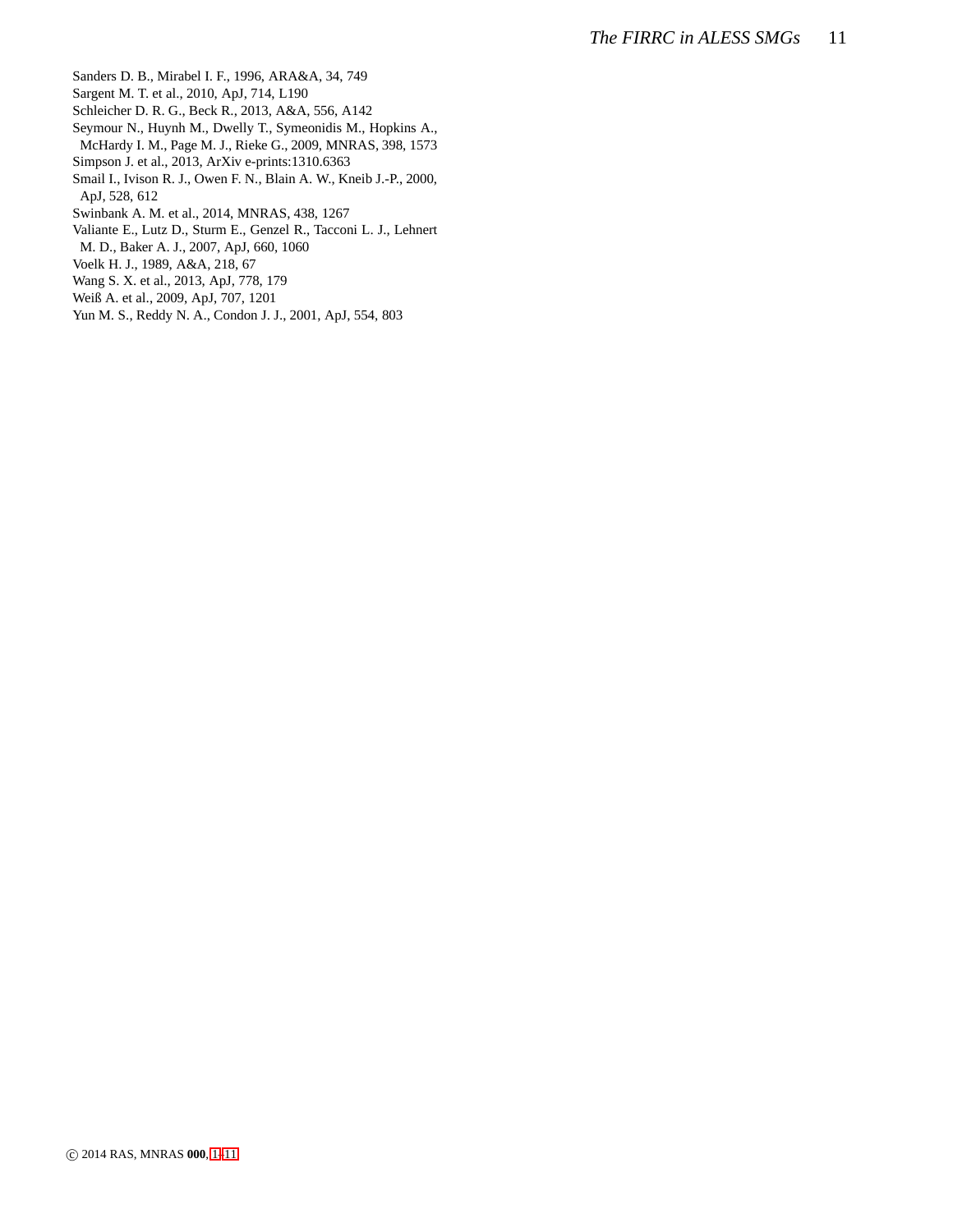- <span id="page-10-0"></span>Sanders D. B., Mirabel I. F., 1996, ARA&A, 34, 749
- <span id="page-10-5"></span>Sargent M. T. et al., 2010, ApJ, 714, L190
- <span id="page-10-6"></span>Schleicher D. R. G., Beck R., 2013, A&A, 556, A142
- <span id="page-10-4"></span>Seymour N., Huynh M., Dwelly T., Symeonidis M., Hopkins A., McHardy I. M., Page M. J., Rieke G., 2009, MNRAS, 398, 1573
- <span id="page-10-8"></span>Simpson J. et al., 2013, ArXiv e-prints:1310.6363
- <span id="page-10-2"></span>Smail I., Ivison R. J., Owen F. N., Blain A. W., Kneib J.-P., 2000, ApJ, 528, 612
- <span id="page-10-1"></span>Swinbank A. M. et al., 2014, MNRAS, 438, 1267
- <span id="page-10-10"></span>Valiante E., Lutz D., Sturm E., Genzel R., Tacconi L. J., Lehnert
- M. D., Baker A. J., 2007, ApJ, 660, 1060
- <span id="page-10-3"></span>Voelk H. J., 1989, A&A, 218, 67
- <span id="page-10-9"></span>Wang S. X. et al., 2013, ApJ, 778, 179
- <span id="page-10-7"></span>Weiß A. et al., 2009, ApJ, 707, 1201
- <span id="page-10-11"></span>Yun M. S., Reddy N. A., Condon J. J., 2001, ApJ, 554, 803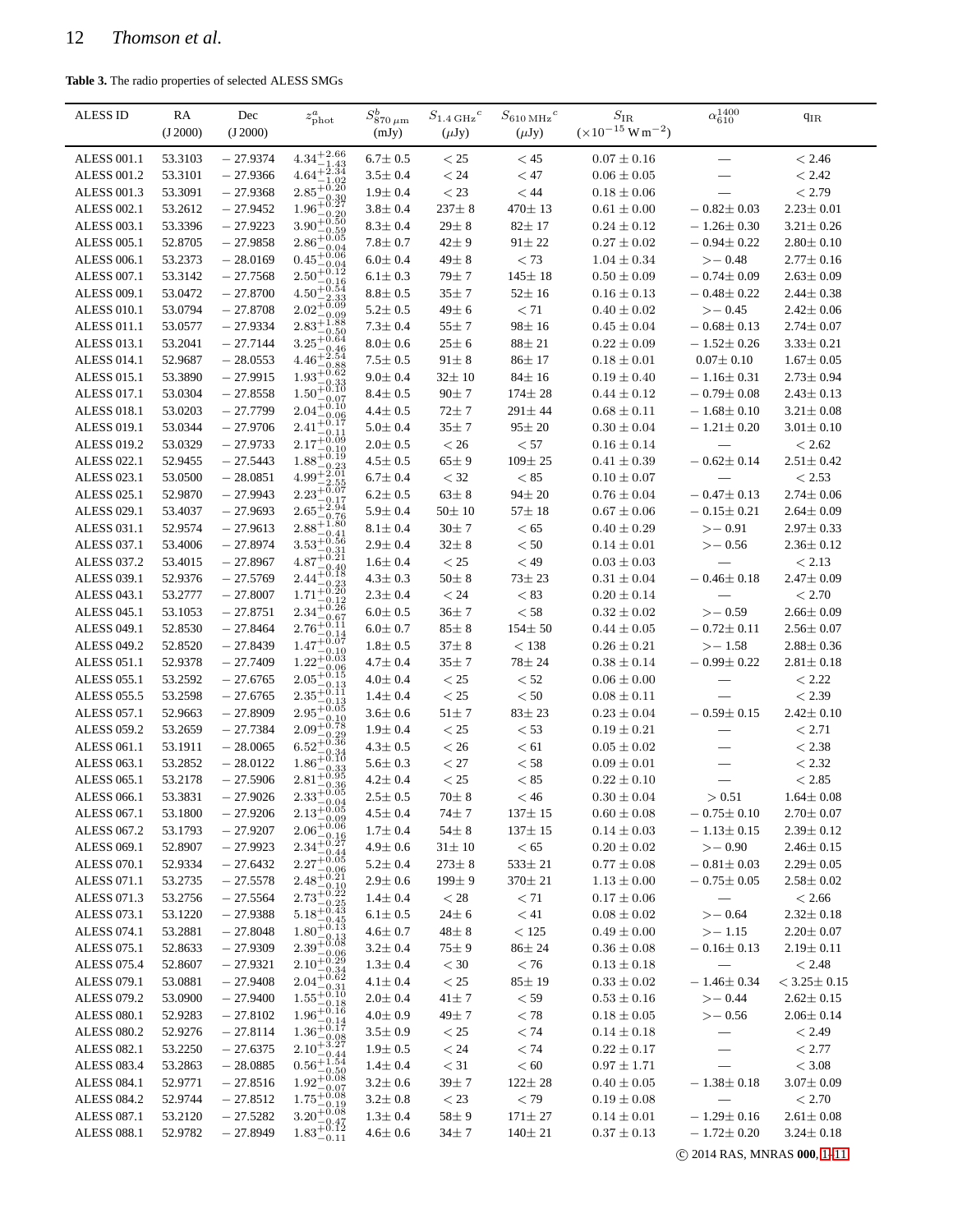<span id="page-11-0"></span>**Table 3.** The radio properties of selected ALESS SMGs

| <b>ALESS ID</b>                          | RA<br>(J 2000)     | Dec<br>(J 2000)          | $z_{\rm phot}^a$                                                                                                                                                                                             | $S^b_{870\,\mu\mathrm{m}}$     | $S_{1.4\,\mathrm{GHz}}{}^c$ | $S_{610\,\mathrm{MHz}}{}^c$  | $S_{\rm IR}$<br>$(x10^{-15} W m^{-2})$ | $\alpha_{610}^{1400}$                | $q_{IR}$                           |
|------------------------------------------|--------------------|--------------------------|--------------------------------------------------------------------------------------------------------------------------------------------------------------------------------------------------------------|--------------------------------|-----------------------------|------------------------------|----------------------------------------|--------------------------------------|------------------------------------|
|                                          |                    |                          |                                                                                                                                                                                                              | (mJy)                          | $(\mu Jy)$                  | $(\mu Jy)$                   |                                        |                                      |                                    |
| <b>ALESS 001.1</b>                       | 53.3103            | $-27.9374$               | $4.34^{+2.66}_{-1.43}$                                                                                                                                                                                       | $6.7 \pm 0.5$                  | $<$ 25                      | < 45                         | $0.07 \pm 0.16$                        |                                      | < 2.46                             |
| <b>ALESS 001.2</b>                       | 53.3101            | $-27.9366$               | $4.64 + \frac{1.43}{1.34}$<br>$2.85_{-6.81}^{+0.20}$                                                                                                                                                         | $3.5 \pm 0.4$                  | $< 24\,$                    | $<47\,$                      | $0.06 \pm 0.05$                        |                                      | < 2.42                             |
| <b>ALESS 001.3</b>                       | 53.3091            | $-27.9368$               | $1.96^{+0.27}_{-0.27}$                                                                                                                                                                                       | $1.9 \pm 0.4$                  | $<23\,$                     | $<44\,$                      | $0.18\pm0.06$                          |                                      | < 2.79                             |
| ALESS 002.1                              | 53.2612            | $-27.9452$               | $3.90_{-0.50}^{+0.50}$                                                                                                                                                                                       | $3.8 \pm 0.4$                  | $237 \pm 8$                 | $470 \pm 13$                 | $0.61 \pm 0.00$                        | $-0.82 \pm 0.03$                     | $2.23 \pm 0.01$                    |
| <b>ALESS 003.1</b>                       | 53.3396            | $-27.9223$               | $2.86^{+0.05}_{-0.05}$                                                                                                                                                                                       | $8.3 \pm 0.4$                  | $29\pm\,8$                  | $82 \pm 17$                  | $0.24 \pm 0.12$                        | $-1.26 \pm 0.30$                     | $3.21 \pm 0.26$                    |
| <b>ALESS 005.1</b>                       | 52.8705            | $-27.9858$               |                                                                                                                                                                                                              | $7.8 \pm 0.7$                  | $42 \pm 9$                  | $91 \pm 22$                  | $0.27 \pm 0.02$                        | $-0.94 \pm 0.22$                     | $2.80 \pm 0.10$                    |
| <b>ALESS 006.1</b>                       | 53.2373            | $-28.0169$               | $0.45 + 0.06$<br>$2.50^{+0.04}_{-0.12}$                                                                                                                                                                      | $6.0 \pm 0.4$                  | $49\pm8$                    | < 73                         | $1.04 \pm 0.34$                        | $\ge -0.48$                          | $2.77 \pm 0.16$                    |
| <b>ALESS 007.1</b>                       | 53.3142            | $-27.7568$               | $4.50^{+0.16}_{-2.2}$                                                                                                                                                                                        | $6.1 \pm 0.3$                  | $79 + 7$                    | $145 \pm 18$                 | $0.50 \pm 0.09$                        | $-0.74 \pm 0.09$                     | $2.63 \pm 0.09$                    |
| <b>ALESS 009.1</b>                       | 53.0472            | $-27.8700$               | $2.02_{-0.09}^{+0.04}$                                                                                                                                                                                       | $8.8 \pm 0.5$                  | $35 \pm 7$                  | $52 \pm 16$                  | $0.16 \pm 0.13$                        | $-0.48 \pm 0.22$                     | $2.44 \pm 0.38$                    |
| <b>ALESS 010.1</b>                       | 53.0794            | $-27.8708$<br>$-27.9334$ | $2.83^{+1.88}_{-0.52}$                                                                                                                                                                                       | $5.2 \pm 0.5$                  | $49\pm 6$                   | < 71                         | $0.40 \pm 0.02$                        | $\ge -0.45$                          | $2.42 \pm 0.06$                    |
| <b>ALESS 011.1</b><br><b>ALESS 013.1</b> | 53.0577<br>53.2041 | $-27.7144$               | $-0.50$<br>$3.25 + 0.64$                                                                                                                                                                                     | $7.3 \pm 0.4$<br>$8.0 \pm 0.6$ | $55 \pm 7$<br>$25 \pm 6$    | $98 \pm 16$<br>$88 + 21$     | $0.45\pm0.04$<br>$0.22 \pm 0.09$       | $-0.68 \pm 0.13$<br>$-1.52 \pm 0.26$ | $2.74 \pm 0.07$<br>$3.33 \pm 0.21$ |
| <b>ALESS 014.1</b>                       | 52.9687            | $-28.0553$               | $4.46^{+2.54}_{-0.25}$                                                                                                                                                                                       | $7.5 \pm 0.5$                  | $91 \pm 8$                  | $86 \pm 17$                  | $0.18\pm0.01$                          | $0.07 \pm 0.10$                      | $1.67 \pm 0.05$                    |
| <b>ALESS 015.1</b>                       | 53.3890            | $-27.9915$               | $1.93^{+0.88}_{-0.62}$                                                                                                                                                                                       | $9.0 \pm 0.4$                  | $32 \pm 10$                 | $84 \pm 16$                  | $0.19 \pm 0.40$                        | $-1.16 \pm 0.31$                     | $2.73 \pm 0.94$                    |
| <b>ALESS 017.1</b>                       | 53.0304            | $-27.8558$               | $1.50^{+0.10}_{-0.22}$                                                                                                                                                                                       | $8.4 \pm 0.5$                  | $90\pm7$                    | $174 \pm 28$                 | $0.44 \pm 0.12$                        | $-0.79 \pm 0.08$                     | $2.43 \pm 0.13$                    |
| <b>ALESS 018.1</b>                       | 53.0203            | $-27.7799$               | $2.04^{+0.10}_{-0.07}$                                                                                                                                                                                       | $4.4 \pm 0.5$                  | $72 \pm 7$                  | $291 \pm 44$                 | $0.68\pm0.11$                          | $-1.68 \pm 0.10$                     | $3.21 \pm 0.08$                    |
| <b>ALESS 019.1</b>                       | 53.0344            | $-27.9706$               | $2.41^{+0.10}_{-0.17}$                                                                                                                                                                                       | $5.0 \pm 0.4$                  | $35 \pm 7$                  | $95 \pm 20$                  | $0.30 \pm 0.04$                        | $-1.21 \pm 0.20$                     | $3.01 \pm 0.10$                    |
| <b>ALESS 019.2</b>                       | 53.0329            | $-27.9733$               | 0.11<br>$2.17 + 0.09$                                                                                                                                                                                        | $2.0 \pm 0.5$                  | $< 26\,$                    | $< 57\,$                     | $0.16\pm0.14$                          |                                      | $< 2.62\,$                         |
| <b>ALESS 022.1</b>                       | 52.9455            | $-27.5443$               | 0.10<br>$1.88 + 0.19$                                                                                                                                                                                        | $4.5 \pm 0.5$                  | $65 \pm 9$                  | $109 \pm 25$                 | $0.41 \pm 0.39$                        | $-0.62 \pm 0.14$                     | $2.51 \pm 0.42$                    |
| ALESS 023.1                              | 53.0500            | $-28.0851$               | $4.99^{+\frac{5}{2}\cdot\frac{61}{2}}$                                                                                                                                                                       | $6.7 \pm 0.4$                  | $<$ 32                      | $< 85\,$                     | $0.10 \pm 0.07$                        |                                      | < 2.53                             |
| <b>ALESS 025.1</b>                       | 52.9870            | $-27.9943$               | $2.23_{-0.07}^{+0.07}$                                                                                                                                                                                       | $6.2 \pm 0.5$                  | $63\pm8$                    | $94 \pm 20$                  | $0.76 \pm 0.04$                        | $-0.47 \pm 0.13$                     | $2.74 \pm 0.06$                    |
| ALESS 029.1                              | 53.4037            | $-27.9693$               | 0.17<br>$2.65^{+\frac{5}{2}\cdot\frac{94}{2}}$                                                                                                                                                               | $5.9 \pm 0.4$                  | $50\pm10$                   | $57 \pm 18$                  | $0.67 \pm 0.06$                        | $-0.15 \pm 0.21$                     | $2.64 \pm 0.09$                    |
| <b>ALESS 031.1</b>                       | 52.9574            | $-27.9613$               | $2.88^{+1.80}_{-0.80}$                                                                                                                                                                                       | $8.1 \pm 0.4$                  | $30\pm7$                    | < 65                         | $0.40 \pm 0.29$                        | $> -0.91$                            | $2.97 \pm 0.33$                    |
| ALESS 037.1                              | 53.4006            | $-27.8974$               | $3.53^{+0.41}_{-0.56}$                                                                                                                                                                                       | $2.9 \pm 0.4$                  | $32 \pm 8$                  | $< 50\,$                     | $0.14 \pm 0.01$                        | $\ge -0.56$                          | $2.36 \pm 0.12$                    |
| <b>ALESS 037.2</b>                       | 53.4015            | $-27.8967$               | $4.87^{+0.31}_{-0.21}$                                                                                                                                                                                       | $1.6 \pm 0.4$                  | $<25\,$                     | $<49\,$                      | $0.03\pm0.03$                          |                                      | < 2.13                             |
| <b>ALESS 039.1</b>                       | 52.9376            | $-27.5769$               | $2.44^{+0.18}_{-0.18}$                                                                                                                                                                                       | $4.3 \pm 0.3$                  | $50\pm\,8$                  | $73 \pm 23$                  | $0.31 \pm 0.04$                        | $-0.46 \pm 0.18$                     | $2.47 \pm 0.09$                    |
| <b>ALESS 043.1</b>                       | 53.2777            | $-27.8007$               | $1.71^{+0.23}_{-0.20}$                                                                                                                                                                                       | $2.3 \pm 0.4$                  | $<24\,$                     | $< 83\,$                     | $0.20 \pm 0.14$                        |                                      | $< 2.70\,$                         |
| ALESS 045.1                              | 53.1053            | $-27.8751$               | $2.34_{-0.26}^{+0.12}$                                                                                                                                                                                       | $6.0 \pm 0.5$                  | $36\pm7$                    | $< 58\,$                     | $0.32 \pm 0.02$                        | $\ge -0.59$                          | $2.66 \pm 0.09$                    |
| <b>ALESS 049.1</b>                       | 52.8530            | $-27.8464$               | $2.76^{+0.11}_{-0.11}$                                                                                                                                                                                       | $6.0 \pm 0.7$                  | $85 \pm 8$                  | $154 \pm 50$                 | $0.44 \pm 0.05$                        | $-0.72 \pm 0.11$                     | $2.56 \pm 0.07$                    |
| <b>ALESS 049.2</b>                       | 52.8520            | $-27.8439$               | $1.47^{+0.07}_{-0.07}$<br>$-0.10$                                                                                                                                                                            | $1.8 \pm 0.5$                  | $37 \pm 8$                  | $<138\,$                     | $0.26 \pm 0.21$                        | $>-1.58$                             | $2.88 \pm 0.36$                    |
| <b>ALESS 051.1</b>                       | 52.9378            | $-27.7409$               | $1.22^{+\overset{0}{\circ}\cdot\overset{03}{\circ} }$<br>0.06                                                                                                                                                | $4.7 \pm 0.4$                  | $35 \pm 7$                  | 78 ± 24                      | $0.38 \pm 0.14$                        | $-0.99 \pm 0.22$                     | $2.81 \pm 0.18$                    |
| <b>ALESS 055.1</b>                       | 53.2592            | $-27.6765$               | $2.05^{+\check{0}.\check{1}5}_{\circ}$                                                                                                                                                                       | $4.0 \pm 0.4$                  | $< 25\,$                    | $< 52\,$                     | $0.06 \pm 0.00$                        |                                      | < 2.22                             |
| <b>ALESS 055.5</b>                       | 53.2598            | $-27.6765$               | $2.35_{-0.11}^{+0.13}$                                                                                                                                                                                       | $1.4 \pm 0.4$                  | $< 25\,$                    | $< 50\,$                     | $0.08\pm0.11$                          |                                      | < 2.39                             |
| <b>ALESS 057.1</b>                       | 52.9663            | $-27.8909$               | $2.95_{-6}^{+0.13}$<br>$2.09^{+0.10}_{-0.78}$                                                                                                                                                                | $3.6 \pm 0.6$                  | $51\pm7$                    | $83 \pm 23$                  | $0.23 \pm 0.04$                        | $-0.59 \pm 0.15$                     | $2.42 \pm 0.10$                    |
| <b>ALESS 059.2</b>                       | 53.2659            | $-27.7384$               | $6.52^{+0.29}_{-0.36}$                                                                                                                                                                                       | $1.9 \pm 0.4$                  | $<$ 25                      | $<$ 53                       | $0.19 \pm 0.21$                        |                                      | < 2.71                             |
| <b>ALESS 061.1</b>                       | 53.1911            | $-28.0065$               | 0.34                                                                                                                                                                                                         | $4.3 \pm 0.5$                  | $<$ 26                      | < 61                         | $0.05 \pm 0.02$                        |                                      | < 2.38                             |
| <b>ALESS 063.1</b>                       | 53.2852            | $-28.0122$               | $1.86^{+\check{0}.\check{1} \check{0}}$<br>$2.81_{-6}^{+0.39}$                                                                                                                                               | $5.6 \pm 0.3$                  | $<$ 27                      | $< 58\,$                     | $0.09 \pm 0.01$                        | $\overline{\phantom{0}}$             | $< 2.32\,$                         |
| ALESS 065.1                              | 53.2178            | $-27.5906$               | $2.33_{-0.05}^{+0.36}$                                                                                                                                                                                       | $4.2 \pm 0.4$                  | $<25\,$                     | $< 85\,$                     | $0.22 \pm 0.10$                        | $\overline{\phantom{m}}$             | < 2.85                             |
| ALESS 066.1                              | 53.3831            | $-27.9026$               |                                                                                                                                                                                                              | $2.5 \pm 0.5$                  | $70\pm8$                    | $<$ 46                       | $0.30 \pm 0.04$                        | > 0.51                               | $1.64 \pm 0.08$                    |
| ALESS 067.1                              | 53.1800            | $-27.9206$               |                                                                                                                                                                                                              | $4.5 \pm 0.4$                  | $74 \pm 7$                  | $137 \pm 15$                 | $0.60 \pm 0.08$                        | $-0.75 \pm 0.10$                     | $2.70 \pm 0.07$                    |
| <b>ALESS 067.2</b>                       | 53.1793            | $-27.9207$               |                                                                                                                                                                                                              | $1.7 \pm 0.4$                  | $54\pm8$                    | $137 \pm 15$                 | $0.14 \pm 0.03$                        | $-1.13\pm0.15$                       | $2.39 \pm 0.12$                    |
| <b>ALESS 069.1</b><br><b>ALESS 070.1</b> | 52.8907            | $-27.9923$<br>$-27.6432$ | $2.33_{-0.04}^{+0.04}$<br>$2.13_{-0.09}^{+0.05}$<br>$2.06_{-0.16}^{+0.06}$<br>$2.34_{-0.27}^{+0.06}$<br>$2.27_{-0.06}^{+0.22}$<br>$2.73_{-0.22}^{+0.22}$<br>$2.73_{-0.25}^{+0.22}$<br>$5.18_{-0.45}^{+0.24}$ | $4.9 \pm 0.6$<br>$5.2 \pm 0.4$ | $31 \pm 10$                 | < 65                         | $0.20 \pm 0.02$                        | $>-0.90$                             | $2.46 \pm 0.15$<br>$2.29 \pm 0.05$ |
| ALESS 071.1                              | 52.9334<br>53.2735 | $-27.5578$               |                                                                                                                                                                                                              | $2.9 \pm 0.6$                  | $273 \pm 8$<br>$199 \pm 9$  | $533 \pm 21$<br>$370 \pm 21$ | $0.77\pm0.08$                          | $-0.81 \pm 0.03$<br>$-0.75 \pm 0.05$ | $2.58 \pm 0.02$                    |
| ALESS 071.3                              | 53.2756            | $-27.5564$               |                                                                                                                                                                                                              | $1.4 \pm 0.4$                  | $<$ 28                      | < 71                         | $1.13 \pm 0.00$<br>$0.17 \pm 0.06$     |                                      | < 2.66                             |
| ALESS 073.1                              | 53.1220            | $-27.9388$               |                                                                                                                                                                                                              | $6.1 \pm 0.5$                  | $24\pm 6$                   | < 41                         | $0.08\pm0.02$                          | $> -0.64$                            | $2.32 \pm 0.18$                    |
| ALESS 074.1                              | 53.2881            | $-27.8048$               | $1.80^{+0.13}_{-0.13}$                                                                                                                                                                                       | $4.6 \pm 0.7$                  | $48\pm8$                    | < 125                        | $0.49 \pm 0.00$                        | $> -1.15$                            | $2.20 \pm 0.07$                    |
| <b>ALESS 075.1</b>                       | 52.8633            | $-27.9309$               | $2.39^{+0.13}_{-0.08}$                                                                                                                                                                                       | $3.2 \pm 0.4$                  | $75 \pm 9$                  | $86 \pm 24$                  | $0.36\pm0.08$                          | $-0.16 \pm 0.13$                     | $2.19 \pm 0.11$                    |
| <b>ALESS 075.4</b>                       | 52.8607            | $-27.9321$               |                                                                                                                                                                                                              | $1.3 \pm 0.4$                  | $<$ 30                      | < 76                         | $0.13 \pm 0.18$                        |                                      | < 2.48                             |
| ALESS 079.1                              | 53.0881            | $-27.9408$               | $2.39^{+0.06}_{-0.34}$<br>$2.10^{+0.29}_{-0.34}$<br>$2.04^{+0.62}_{-0.31}$<br>$1.55^{+0.10}_{-0.18}$<br>$1.96^{+0.16}_{-0.14}$                                                                               | $4.1 \pm 0.4$                  | $<$ 25                      | $85 \pm 19$                  | $0.33 \pm 0.02$                        | $-1.46 \pm 0.34$                     | $<$ 3.25 $\pm$ 0.15                |
| <b>ALESS 079.2</b>                       | 53.0900            | $-27.9400$               |                                                                                                                                                                                                              | $2.0 \pm 0.4$                  | $41 \pm 7$                  | $<$ 59                       | $0.53\pm0.16$                          | $\ge -0.44$                          | $2.62 \pm 0.15$                    |
| <b>ALESS 080.1</b>                       | 52.9283            | $-27.8102$               |                                                                                                                                                                                                              | $4.0 \pm 0.9$                  | 49 ± 7                      | $<$ 78                       | $0.18 \pm 0.05$                        | $\ge -0.56$                          | $2.06 \pm 0.14$                    |
| <b>ALESS 080.2</b>                       | 52.9276            | $-27.8114$               | $1.36^{+0.14}_{-0.17}$                                                                                                                                                                                       | $3.5 \pm 0.9$                  | $<$ 25                      | < 74                         | $0.14 \pm 0.18$                        |                                      | < 2.49                             |
| <b>ALESS 082.1</b>                       | 53.2250            | $-27.6375$               | $1.36^{+0.08}_{-0.08}$ $2.10^{+3.27}_{-0.44}$ $0.56^{+1.54}_{-0.50}$ $1.92^{+0.08}_{-0.07}$                                                                                                                  | $1.9 \pm 0.5$                  | < 24                        | < 74                         | $0.22 \pm 0.17$                        | $\overline{\phantom{0}}$             | < 2.77                             |
| <b>ALESS 083.4</b>                       | 53.2863            | $-28.0885$               |                                                                                                                                                                                                              | $1.4 \pm 0.4$                  | $<$ 31                      | < 60                         | $0.97 \pm 1.71$                        | $\overline{\phantom{m}}$             | < 3.08                             |
| <b>ALESS 084.1</b>                       | 52.9771            | $-27.8516$               |                                                                                                                                                                                                              | $3.2 \pm 0.6$                  | $39 + 7$                    | $122 \pm 28$                 | $0.40 \pm 0.05$                        | $-1.38 \pm 0.18$                     | $3.07 \pm 0.09$                    |
| <b>ALESS 084.2</b>                       | 52.9744            | $-27.8512$               | $1.75^{+0.08}_{-0.10}$                                                                                                                                                                                       | $3.2 \pm 0.8$                  | $<$ 23                      | $<$ 79                       | $0.19 \pm 0.08$                        |                                      | < 2.70                             |
| ALESS 087.1                              | 53.2120            | $-27.5282$               | -0.19<br>$3.20^{+0.08}_{-0.02}$                                                                                                                                                                              | $1.3 \pm 0.4$                  | $58\pm9$                    | $171 \pm 27$                 | $0.14 \pm 0.01$                        | $-1.29 \pm 0.16$                     | $2.61 \pm 0.08$                    |
| <b>ALESS 088.1</b>                       | 52.9782            | $-27.8949$               | $3.20_{-0.47}^{+0.47}$<br>$1.83_{-0.11}^{+0.12}$                                                                                                                                                             | $4.6 \pm 0.6$                  | $34 \pm 7$                  | $140 \pm 21$                 | $0.37 \pm 0.13$                        | $-1.72 \pm 0.20$                     | $3.24 \pm 0.18$                    |
|                                          |                    |                          |                                                                                                                                                                                                              |                                |                             |                              |                                        |                                      |                                    |

c 2014 RAS, MNRAS **000**, [1](#page-0-0)[–11](#page-11-0)